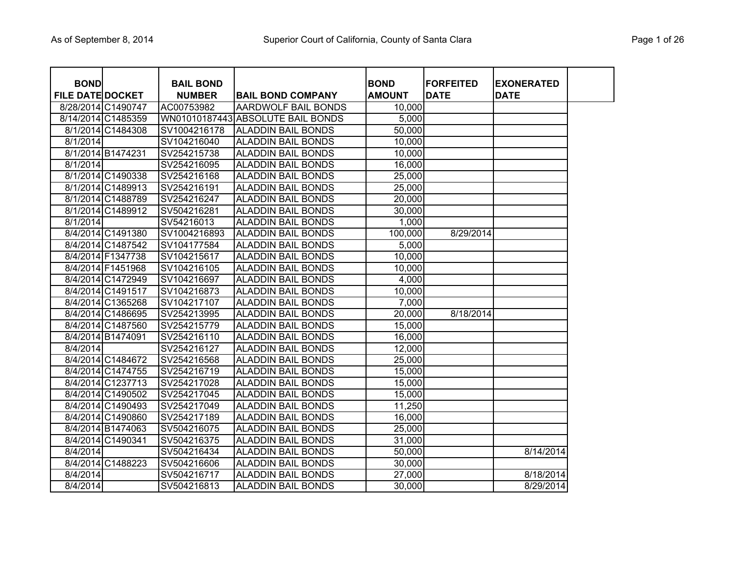| Page 1 of 26 |  |  |
|--------------|--|--|
|              |  |  |

| <b>BOND</b>             |                    | <b>BAIL BOND</b> |                                   | <b>BOND</b>   | <b>FORFEITED</b> | <b>EXONERATED</b> |
|-------------------------|--------------------|------------------|-----------------------------------|---------------|------------------|-------------------|
| <b>FILE DATE DOCKET</b> |                    | <b>NUMBER</b>    | <b>BAIL BOND COMPANY</b>          | <b>AMOUNT</b> | <b>DATE</b>      | <b>DATE</b>       |
| 8/28/2014 C1490747      |                    | AC00753982       | AARDWOLF BAIL BONDS               | 10,000        |                  |                   |
|                         | 8/14/2014 C1485359 |                  | WN01010187443 ABSOLUTE BAIL BONDS | 5,000         |                  |                   |
|                         | 8/1/2014 C1484308  | SV1004216178     | <b>ALADDIN BAIL BONDS</b>         | 50,000        |                  |                   |
| 8/1/2014                |                    | SV104216040      | <b>ALADDIN BAIL BONDS</b>         | 10,000        |                  |                   |
|                         | 8/1/2014 B1474231  | SV254215738      | <b>ALADDIN BAIL BONDS</b>         | 10,000        |                  |                   |
| 8/1/2014                |                    | SV254216095      | <b>ALADDIN BAIL BONDS</b>         | 16,000        |                  |                   |
|                         | 8/1/2014 C1490338  | SV254216168      | <b>ALADDIN BAIL BONDS</b>         | 25,000        |                  |                   |
|                         | 8/1/2014 C1489913  | SV254216191      | <b>ALADDIN BAIL BONDS</b>         | 25,000        |                  |                   |
|                         | 8/1/2014 C1488789  | SV254216247      | <b>ALADDIN BAIL BONDS</b>         | 20,000        |                  |                   |
|                         | 8/1/2014 C1489912  | SV504216281      | <b>ALADDIN BAIL BONDS</b>         | 30,000        |                  |                   |
| 8/1/2014                |                    | SV54216013       | <b>ALADDIN BAIL BONDS</b>         | 1,000         |                  |                   |
|                         | 8/4/2014 C1491380  | SV1004216893     | <b>ALADDIN BAIL BONDS</b>         | 100,000       | 8/29/2014        |                   |
|                         | 8/4/2014 C1487542  | SV104177584      | <b>ALADDIN BAIL BONDS</b>         | 5,000         |                  |                   |
|                         | 8/4/2014 F1347738  | SV104215617      | <b>ALADDIN BAIL BONDS</b>         | 10,000        |                  |                   |
|                         | 8/4/2014 F1451968  | SV104216105      | <b>ALADDIN BAIL BONDS</b>         | 10,000        |                  |                   |
|                         | 8/4/2014 C1472949  | SV104216697      | <b>ALADDIN BAIL BONDS</b>         | 4,000         |                  |                   |
|                         | 8/4/2014 C1491517  | SV104216873      | <b>ALADDIN BAIL BONDS</b>         | 10,000        |                  |                   |
|                         | 8/4/2014 C1365268  | SV104217107      | <b>ALADDIN BAIL BONDS</b>         | 7,000         |                  |                   |
|                         | 8/4/2014 C1486695  | SV254213995      | <b>ALADDIN BAIL BONDS</b>         | 20,000        | 8/18/2014        |                   |
|                         | 8/4/2014 C1487560  | SV254215779      | <b>ALADDIN BAIL BONDS</b>         | 15,000        |                  |                   |
|                         | 8/4/2014 B1474091  | SV254216110      | <b>ALADDIN BAIL BONDS</b>         | 16,000        |                  |                   |
| 8/4/2014                |                    | SV254216127      | <b>ALADDIN BAIL BONDS</b>         | 12,000        |                  |                   |
|                         | 8/4/2014 C1484672  | SV254216568      | <b>ALADDIN BAIL BONDS</b>         | 25,000        |                  |                   |
|                         | 8/4/2014 C1474755  | SV254216719      | <b>ALADDIN BAIL BONDS</b>         | 15,000        |                  |                   |
|                         | 8/4/2014 C1237713  | SV254217028      | <b>ALADDIN BAIL BONDS</b>         | 15,000        |                  |                   |
|                         | 8/4/2014 C1490502  | SV254217045      | <b>ALADDIN BAIL BONDS</b>         | 15,000        |                  |                   |
|                         | 8/4/2014 C1490493  | SV254217049      | <b>ALADDIN BAIL BONDS</b>         | 11,250        |                  |                   |
|                         | 8/4/2014 C1490860  | SV254217189      | <b>ALADDIN BAIL BONDS</b>         | 16,000        |                  |                   |
|                         | 8/4/2014 B1474063  | SV504216075      | <b>ALADDIN BAIL BONDS</b>         | 25,000        |                  |                   |
|                         | 8/4/2014 C1490341  | SV504216375      | <b>ALADDIN BAIL BONDS</b>         | 31,000        |                  |                   |
| 8/4/2014                |                    | SV504216434      | <b>ALADDIN BAIL BONDS</b>         | 50,000        |                  | 8/14/2014         |
|                         | 8/4/2014 C1488223  | SV504216606      | <b>ALADDIN BAIL BONDS</b>         | 30,000        |                  |                   |
| 8/4/2014                |                    | SV504216717      | <b>ALADDIN BAIL BONDS</b>         | 27,000        |                  | 8/18/2014         |
| 8/4/2014                |                    | SV504216813      | <b>ALADDIN BAIL BONDS</b>         | 30,000        |                  | 8/29/2014         |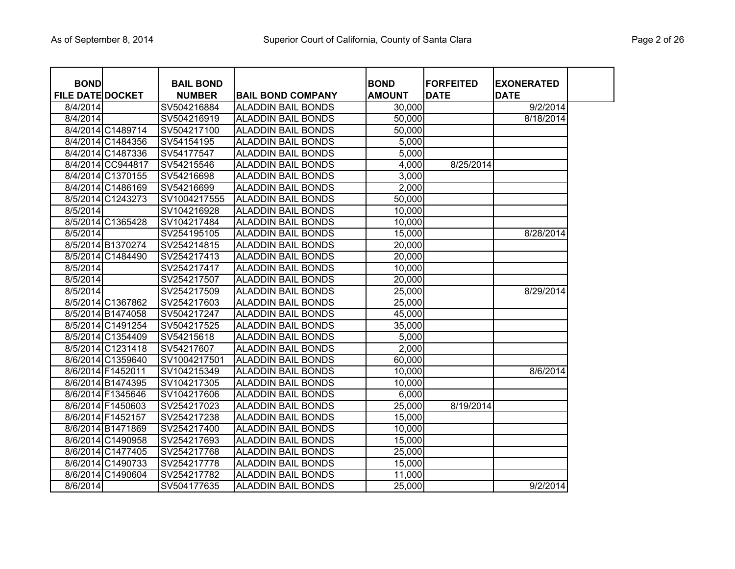| <b>BOND</b>             |                   | <b>BAIL BOND</b> |                           | <b>BOND</b>   | <b>IFORFEITED</b> | <b>EXONERATED</b> |
|-------------------------|-------------------|------------------|---------------------------|---------------|-------------------|-------------------|
| <b>FILE DATE DOCKET</b> |                   | <b>NUMBER</b>    | <b>BAIL BOND COMPANY</b>  | <b>AMOUNT</b> | <b>DATE</b>       | <b>DATE</b>       |
| 8/4/2014                |                   | SV504216884      | <b>ALADDIN BAIL BONDS</b> | 30,000        |                   | 9/2/2014          |
| 8/4/2014                |                   | SV504216919      | <b>ALADDIN BAIL BONDS</b> | 50,000        |                   | 8/18/2014         |
|                         | 8/4/2014 C1489714 | SV504217100      | <b>ALADDIN BAIL BONDS</b> | 50,000        |                   |                   |
|                         | 8/4/2014 C1484356 | SV54154195       | <b>ALADDIN BAIL BONDS</b> | 5,000         |                   |                   |
|                         | 8/4/2014 C1487336 | SV54177547       | <b>ALADDIN BAIL BONDS</b> | 5,000         |                   |                   |
|                         | 8/4/2014 CC944817 | SV54215546       | <b>ALADDIN BAIL BONDS</b> | 4,000         | 8/25/2014         |                   |
|                         | 8/4/2014 C1370155 | SV54216698       | <b>ALADDIN BAIL BONDS</b> | 3,000         |                   |                   |
|                         | 8/4/2014 C1486169 | SV54216699       | <b>ALADDIN BAIL BONDS</b> | 2,000         |                   |                   |
|                         | 8/5/2014 C1243273 | SV1004217555     | <b>ALADDIN BAIL BONDS</b> | 50,000        |                   |                   |
| 8/5/2014                |                   | SV104216928      | <b>ALADDIN BAIL BONDS</b> | 10,000        |                   |                   |
|                         | 8/5/2014 C1365428 | SV104217484      | <b>ALADDIN BAIL BONDS</b> | 10,000        |                   |                   |
| 8/5/2014                |                   | SV254195105      | <b>ALADDIN BAIL BONDS</b> | 15,000        |                   | 8/28/2014         |
|                         | 8/5/2014 B1370274 | SV254214815      | <b>ALADDIN BAIL BONDS</b> | 20,000        |                   |                   |
|                         | 8/5/2014 C1484490 | SV254217413      | <b>ALADDIN BAIL BONDS</b> | 20,000        |                   |                   |
| 8/5/2014                |                   | SV254217417      | <b>ALADDIN BAIL BONDS</b> | 10,000        |                   |                   |
| 8/5/2014                |                   | SV254217507      | <b>ALADDIN BAIL BONDS</b> | 20,000        |                   |                   |
| 8/5/2014                |                   | SV254217509      | <b>ALADDIN BAIL BONDS</b> | 25,000        |                   | 8/29/2014         |
|                         | 8/5/2014 C1367862 | SV254217603      | <b>ALADDIN BAIL BONDS</b> | 25,000        |                   |                   |
|                         | 8/5/2014 B1474058 | SV504217247      | <b>ALADDIN BAIL BONDS</b> | 45,000        |                   |                   |
|                         | 8/5/2014 C1491254 | SV504217525      | <b>ALADDIN BAIL BONDS</b> | 35,000        |                   |                   |
|                         | 8/5/2014 C1354409 | SV54215618       | <b>ALADDIN BAIL BONDS</b> | 5,000         |                   |                   |
|                         | 8/5/2014 C1231418 | SV54217607       | <b>ALADDIN BAIL BONDS</b> | 2,000         |                   |                   |
|                         | 8/6/2014 C1359640 | SV1004217501     | <b>ALADDIN BAIL BONDS</b> | 60,000        |                   |                   |
|                         | 8/6/2014 F1452011 | SV104215349      | <b>ALADDIN BAIL BONDS</b> | 10,000        |                   | 8/6/2014          |
|                         | 8/6/2014 B1474395 | SV104217305      | <b>ALADDIN BAIL BONDS</b> | 10,000        |                   |                   |
|                         | 8/6/2014 F1345646 | SV104217606      | <b>ALADDIN BAIL BONDS</b> | 6,000         |                   |                   |
|                         | 8/6/2014 F1450603 | SV254217023      | <b>ALADDIN BAIL BONDS</b> | 25,000        | 8/19/2014         |                   |
|                         | 8/6/2014 F1452157 | SV254217238      | <b>ALADDIN BAIL BONDS</b> | 15,000        |                   |                   |
|                         | 8/6/2014 B1471869 | SV254217400      | <b>ALADDIN BAIL BONDS</b> | 10,000        |                   |                   |
|                         | 8/6/2014 C1490958 | SV254217693      | <b>ALADDIN BAIL BONDS</b> | 15,000        |                   |                   |
|                         | 8/6/2014 C1477405 | SV254217768      | <b>ALADDIN BAIL BONDS</b> | 25,000        |                   |                   |
|                         | 8/6/2014 C1490733 | SV254217778      | <b>ALADDIN BAIL BONDS</b> | 15,000        |                   |                   |
|                         | 8/6/2014 C1490604 | SV254217782      | <b>ALADDIN BAIL BONDS</b> | 11,000        |                   |                   |
| 8/6/2014                |                   | SV504177635      | <b>ALADDIN BAIL BONDS</b> | 25,000        |                   | 9/2/2014          |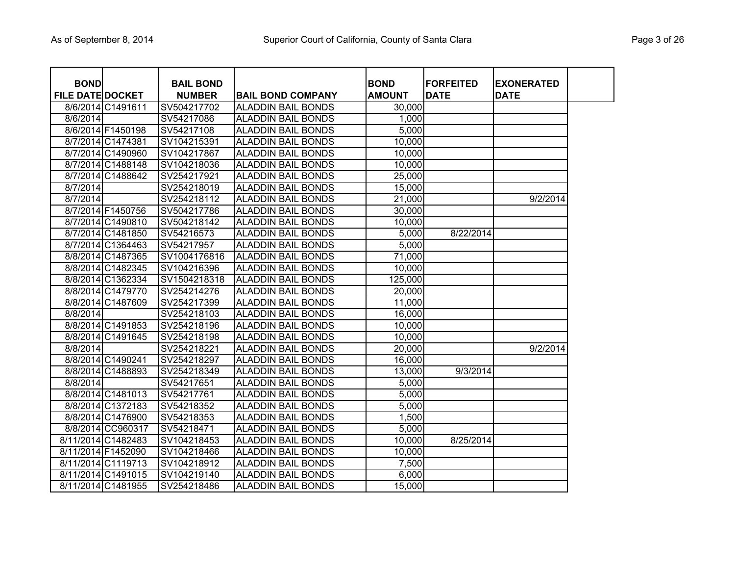| Page 3 of 26 |  |  |
|--------------|--|--|
|              |  |  |

| <b>BOND</b>             |                    | <b>BAIL BOND</b> |                           | <b>BOND</b>   | <b>FORFEITED</b> | <b>EXONERATED</b> |
|-------------------------|--------------------|------------------|---------------------------|---------------|------------------|-------------------|
| <b>FILE DATE DOCKET</b> |                    | <b>NUMBER</b>    | <b>BAIL BOND COMPANY</b>  | <b>AMOUNT</b> | <b>DATE</b>      | <b>DATE</b>       |
|                         | 8/6/2014 C1491611  | SV504217702      | <b>ALADDIN BAIL BONDS</b> | 30,000        |                  |                   |
| 8/6/2014                |                    | SV54217086       | <b>ALADDIN BAIL BONDS</b> | 1,000         |                  |                   |
|                         | 8/6/2014 F1450198  | SV54217108       | <b>ALADDIN BAIL BONDS</b> | 5,000         |                  |                   |
|                         | 8/7/2014 C1474381  | SV104215391      | <b>ALADDIN BAIL BONDS</b> | 10,000        |                  |                   |
|                         | 8/7/2014 C1490960  | SV104217867      | <b>ALADDIN BAIL BONDS</b> | 10,000        |                  |                   |
|                         | 8/7/2014 C1488148  | SV104218036      | <b>ALADDIN BAIL BONDS</b> | 10,000        |                  |                   |
|                         | 8/7/2014 C1488642  | SV254217921      | <b>ALADDIN BAIL BONDS</b> | 25,000        |                  |                   |
| 8/7/2014                |                    | SV254218019      | <b>ALADDIN BAIL BONDS</b> | 15,000        |                  |                   |
| 8/7/2014                |                    | SV254218112      | <b>ALADDIN BAIL BONDS</b> | 21,000        |                  | 9/2/2014          |
|                         | 8/7/2014 F1450756  | SV504217786      | <b>ALADDIN BAIL BONDS</b> | 30,000        |                  |                   |
|                         | 8/7/2014 C1490810  | SV504218142      | <b>ALADDIN BAIL BONDS</b> | 10,000        |                  |                   |
|                         | 8/7/2014 C1481850  | SV54216573       | <b>ALADDIN BAIL BONDS</b> | 5,000         | 8/22/2014        |                   |
|                         | 8/7/2014 C1364463  | SV54217957       | <b>ALADDIN BAIL BONDS</b> | 5,000         |                  |                   |
|                         | 8/8/2014 C1487365  | SV1004176816     | <b>ALADDIN BAIL BONDS</b> | 71,000        |                  |                   |
|                         | 8/8/2014 C1482345  | SV104216396      | <b>ALADDIN BAIL BONDS</b> | 10,000        |                  |                   |
|                         | 8/8/2014 C1362334  | SV1504218318     | <b>ALADDIN BAIL BONDS</b> | 125,000       |                  |                   |
|                         | 8/8/2014 C1479770  | SV254214276      | <b>ALADDIN BAIL BONDS</b> | 20,000        |                  |                   |
|                         | 8/8/2014 C1487609  | SV254217399      | <b>ALADDIN BAIL BONDS</b> | 11,000        |                  |                   |
| 8/8/2014                |                    | SV254218103      | <b>ALADDIN BAIL BONDS</b> | 16,000        |                  |                   |
|                         | 8/8/2014 C1491853  | SV254218196      | <b>ALADDIN BAIL BONDS</b> | 10,000        |                  |                   |
|                         | 8/8/2014 C1491645  | SV254218198      | <b>ALADDIN BAIL BONDS</b> | 10,000        |                  |                   |
| 8/8/2014                |                    | SV254218221      | <b>ALADDIN BAIL BONDS</b> | 20,000        |                  | 9/2/2014          |
|                         | 8/8/2014 C1490241  | SV254218297      | <b>ALADDIN BAIL BONDS</b> | 16,000        |                  |                   |
|                         | 8/8/2014 C1488893  | SV254218349      | <b>ALADDIN BAIL BONDS</b> | 13,000        | 9/3/2014         |                   |
| 8/8/2014                |                    | SV54217651       | <b>ALADDIN BAIL BONDS</b> | 5,000         |                  |                   |
|                         | 8/8/2014 C1481013  | SV54217761       | <b>ALADDIN BAIL BONDS</b> | 5,000         |                  |                   |
|                         | 8/8/2014 C1372183  | SV54218352       | <b>ALADDIN BAIL BONDS</b> | 5,000         |                  |                   |
|                         | 8/8/2014 C1476900  | SV54218353       | <b>ALADDIN BAIL BONDS</b> | 1,500         |                  |                   |
|                         | 8/8/2014 CC960317  | SV54218471       | <b>ALADDIN BAIL BONDS</b> | 5,000         |                  |                   |
|                         | 8/11/2014 C1482483 | SV104218453      | <b>ALADDIN BAIL BONDS</b> | 10,000        | 8/25/2014        |                   |
|                         | 8/11/2014 F1452090 | SV104218466      | <b>ALADDIN BAIL BONDS</b> | 10,000        |                  |                   |
|                         | 8/11/2014 C1119713 | SV104218912      | <b>ALADDIN BAIL BONDS</b> | 7,500         |                  |                   |
|                         | 8/11/2014 C1491015 | SV104219140      | <b>ALADDIN BAIL BONDS</b> | 6,000         |                  |                   |
|                         | 8/11/2014 C1481955 | SV254218486      | <b>ALADDIN BAIL BONDS</b> | 15,000        |                  |                   |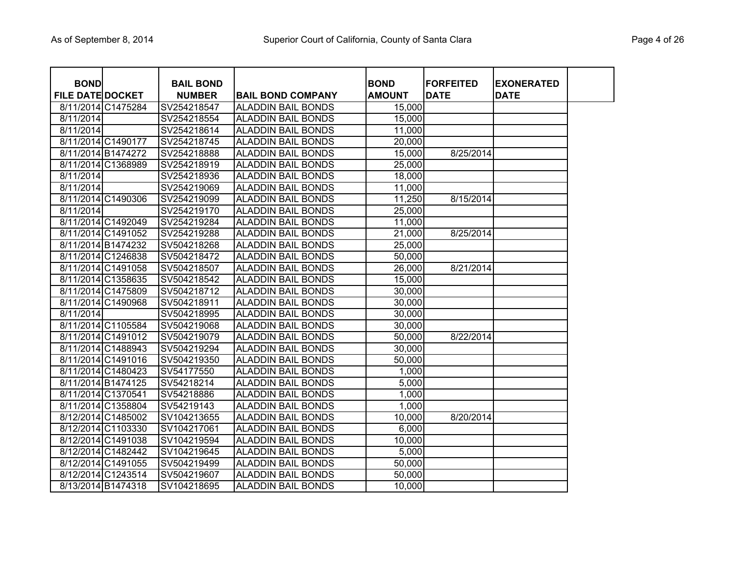| <b>BOND</b>             |                    | <b>BAIL BOND</b> |                           | <b>BOND</b>   | <b>FORFEITED</b> | <b>EXONERATED</b> |
|-------------------------|--------------------|------------------|---------------------------|---------------|------------------|-------------------|
| <b>FILE DATE DOCKET</b> |                    | <b>NUMBER</b>    | <b>BAIL BOND COMPANY</b>  | <b>AMOUNT</b> | <b>DATE</b>      | <b>DATE</b>       |
|                         | 8/11/2014 C1475284 | SV254218547      | <b>ALADDIN BAIL BONDS</b> | 15,000        |                  |                   |
| 8/11/2014               |                    | SV254218554      | <b>ALADDIN BAIL BONDS</b> | 15,000        |                  |                   |
| 8/11/2014               |                    | SV254218614      | <b>ALADDIN BAIL BONDS</b> | 11,000        |                  |                   |
|                         | 8/11/2014 C1490177 | SV254218745      | <b>ALADDIN BAIL BONDS</b> | 20,000        |                  |                   |
|                         | 8/11/2014 B1474272 | SV254218888      | <b>ALADDIN BAIL BONDS</b> | 15,000        | 8/25/2014        |                   |
|                         | 8/11/2014 C1368989 | SV254218919      | <b>ALADDIN BAIL BONDS</b> | 25,000        |                  |                   |
| 8/11/2014               |                    | SV254218936      | <b>ALADDIN BAIL BONDS</b> | 18,000        |                  |                   |
| 8/11/2014               |                    | SV254219069      | <b>ALADDIN BAIL BONDS</b> | 11,000        |                  |                   |
|                         | 8/11/2014 C1490306 | SV254219099      | <b>ALADDIN BAIL BONDS</b> | 11,250        | 8/15/2014        |                   |
| 8/11/2014               |                    | SV254219170      | <b>ALADDIN BAIL BONDS</b> | 25,000        |                  |                   |
|                         | 8/11/2014 C1492049 | SV254219284      | <b>ALADDIN BAIL BONDS</b> | 11,000        |                  |                   |
|                         | 8/11/2014 C1491052 | SV254219288      | <b>ALADDIN BAIL BONDS</b> | 21,000        | 8/25/2014        |                   |
|                         | 8/11/2014 B1474232 | SV504218268      | <b>ALADDIN BAIL BONDS</b> | 25,000        |                  |                   |
|                         | 8/11/2014 C1246838 | SV504218472      | <b>ALADDIN BAIL BONDS</b> | 50,000        |                  |                   |
|                         | 8/11/2014 C1491058 | SV504218507      | <b>ALADDIN BAIL BONDS</b> | 26,000        | 8/21/2014        |                   |
|                         | 8/11/2014 C1358635 | SV504218542      | <b>ALADDIN BAIL BONDS</b> | 15,000        |                  |                   |
|                         | 8/11/2014 C1475809 | SV504218712      | <b>ALADDIN BAIL BONDS</b> | 30,000        |                  |                   |
|                         | 8/11/2014 C1490968 | SV504218911      | <b>ALADDIN BAIL BONDS</b> | 30,000        |                  |                   |
| 8/11/2014               |                    | SV504218995      | <b>ALADDIN BAIL BONDS</b> | 30,000        |                  |                   |
|                         | 8/11/2014 C1105584 | SV504219068      | <b>ALADDIN BAIL BONDS</b> | 30,000        |                  |                   |
|                         | 8/11/2014 C1491012 | SV504219079      | <b>ALADDIN BAIL BONDS</b> | 50,000        | 8/22/2014        |                   |
|                         | 8/11/2014 C1488943 | SV504219294      | <b>ALADDIN BAIL BONDS</b> | 30,000        |                  |                   |
|                         | 8/11/2014 C1491016 | SV504219350      | <b>ALADDIN BAIL BONDS</b> | 50,000        |                  |                   |
|                         | 8/11/2014 C1480423 | SV54177550       | <b>ALADDIN BAIL BONDS</b> | 1,000         |                  |                   |
|                         | 8/11/2014 B1474125 | SV54218214       | <b>ALADDIN BAIL BONDS</b> | 5,000         |                  |                   |
|                         | 8/11/2014 C1370541 | SV54218886       | <b>ALADDIN BAIL BONDS</b> | 1,000         |                  |                   |
|                         | 8/11/2014 C1358804 | SV54219143       | <b>ALADDIN BAIL BONDS</b> | 1,000         |                  |                   |
|                         | 8/12/2014 C1485002 | SV104213655      | <b>ALADDIN BAIL BONDS</b> | 10,000        | 8/20/2014        |                   |
|                         | 8/12/2014 C1103330 | SV104217061      | <b>ALADDIN BAIL BONDS</b> | 6,000         |                  |                   |
|                         | 8/12/2014 C1491038 | SV104219594      | <b>ALADDIN BAIL BONDS</b> | 10,000        |                  |                   |
|                         | 8/12/2014 C1482442 | SV104219645      | <b>ALADDIN BAIL BONDS</b> | 5,000         |                  |                   |
|                         | 8/12/2014 C1491055 | SV504219499      | <b>ALADDIN BAIL BONDS</b> | 50,000        |                  |                   |
|                         | 8/12/2014 C1243514 | SV504219607      | <b>ALADDIN BAIL BONDS</b> | 50,000        |                  |                   |
|                         | 8/13/2014 B1474318 | SV104218695      | <b>ALADDIN BAIL BONDS</b> | 10,000        |                  |                   |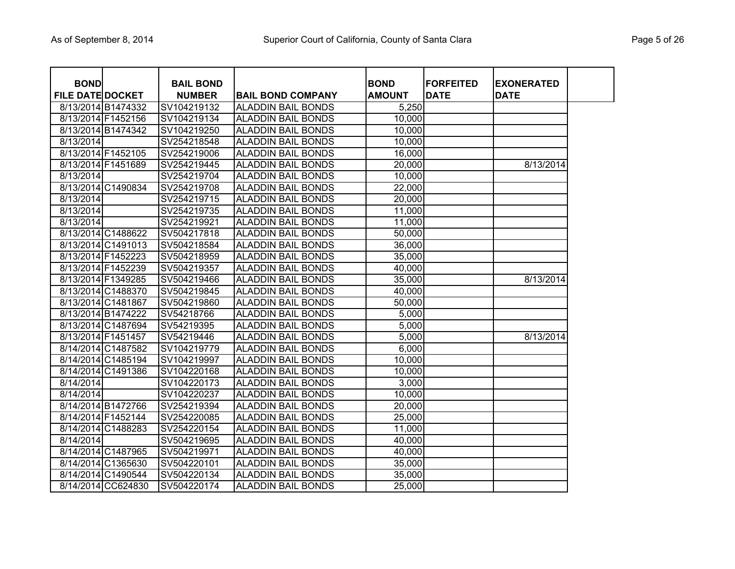| <b>BOND</b>             |                    | <b>BAIL BOND</b> |                           | <b>BOND</b>   | <b>FORFEITED</b> | <b>EXONERATED</b> |
|-------------------------|--------------------|------------------|---------------------------|---------------|------------------|-------------------|
| <b>FILE DATE DOCKET</b> |                    | <b>NUMBER</b>    | <b>BAIL BOND COMPANY</b>  | <b>AMOUNT</b> | <b>DATE</b>      | <b>DATE</b>       |
|                         | 8/13/2014 B1474332 | SV104219132      | <b>ALADDIN BAIL BONDS</b> | 5,250         |                  |                   |
|                         | 8/13/2014 F1452156 | SV104219134      | <b>ALADDIN BAIL BONDS</b> | 10,000        |                  |                   |
|                         | 8/13/2014 B1474342 | SV104219250      | <b>ALADDIN BAIL BONDS</b> | 10,000        |                  |                   |
| 8/13/2014               |                    | SV254218548      | <b>ALADDIN BAIL BONDS</b> | 10,000        |                  |                   |
|                         | 8/13/2014 F1452105 | SV254219006      | <b>ALADDIN BAIL BONDS</b> | 16,000        |                  |                   |
|                         | 8/13/2014 F1451689 | SV254219445      | <b>ALADDIN BAIL BONDS</b> | 20,000        |                  | 8/13/2014         |
| 8/13/2014               |                    | SV254219704      | <b>ALADDIN BAIL BONDS</b> | 10,000        |                  |                   |
|                         | 8/13/2014 C1490834 | SV254219708      | <b>ALADDIN BAIL BONDS</b> | 22,000        |                  |                   |
| $\overline{8}/13/2014$  |                    | SV254219715      | <b>ALADDIN BAIL BONDS</b> | 20,000        |                  |                   |
| 8/13/2014               |                    | SV254219735      | <b>ALADDIN BAIL BONDS</b> | 11,000        |                  |                   |
| 8/13/2014               |                    | SV254219921      | <b>ALADDIN BAIL BONDS</b> | 11,000        |                  |                   |
|                         | 8/13/2014 C1488622 | SV504217818      | <b>ALADDIN BAIL BONDS</b> | 50,000        |                  |                   |
|                         | 8/13/2014 C1491013 | SV504218584      | <b>ALADDIN BAIL BONDS</b> | 36,000        |                  |                   |
|                         | 8/13/2014 F1452223 | SV504218959      | <b>ALADDIN BAIL BONDS</b> | 35,000        |                  |                   |
|                         | 8/13/2014 F1452239 | SV504219357      | <b>ALADDIN BAIL BONDS</b> | 40,000        |                  |                   |
|                         | 8/13/2014 F1349285 | SV504219466      | <b>ALADDIN BAIL BONDS</b> | 35,000        |                  | 8/13/2014         |
|                         | 8/13/2014 C1488370 | SV504219845      | <b>ALADDIN BAIL BONDS</b> | 40,000        |                  |                   |
|                         | 8/13/2014 C1481867 | SV504219860      | <b>ALADDIN BAIL BONDS</b> | 50,000        |                  |                   |
|                         | 8/13/2014 B1474222 | SV54218766       | <b>ALADDIN BAIL BONDS</b> | 5,000         |                  |                   |
|                         | 8/13/2014 C1487694 | SV54219395       | <b>ALADDIN BAIL BONDS</b> | 5,000         |                  |                   |
| 8/13/2014 F1451457      |                    | SV54219446       | <b>ALADDIN BAIL BONDS</b> | 5,000         |                  | 8/13/2014         |
|                         | 8/14/2014 C1487582 | SV104219779      | <b>ALADDIN BAIL BONDS</b> | 6,000         |                  |                   |
|                         | 8/14/2014 C1485194 | SV104219997      | <b>ALADDIN BAIL BONDS</b> | 10,000        |                  |                   |
|                         | 8/14/2014 C1491386 | SV104220168      | <b>ALADDIN BAIL BONDS</b> | 10,000        |                  |                   |
| 8/14/2014               |                    | SV104220173      | <b>ALADDIN BAIL BONDS</b> | 3,000         |                  |                   |
| 8/14/2014               |                    | SV104220237      | <b>ALADDIN BAIL BONDS</b> | 10,000        |                  |                   |
|                         | 8/14/2014 B1472766 | SV254219394      | <b>ALADDIN BAIL BONDS</b> | 20,000        |                  |                   |
|                         | 8/14/2014 F1452144 | SV254220085      | <b>ALADDIN BAIL BONDS</b> | 25,000        |                  |                   |
|                         | 8/14/2014 C1488283 | SV254220154      | <b>ALADDIN BAIL BONDS</b> | 11,000        |                  |                   |
| 8/14/2014               |                    | SV504219695      | <b>ALADDIN BAIL BONDS</b> | 40,000        |                  |                   |
|                         | 8/14/2014 C1487965 | SV504219971      | <b>ALADDIN BAIL BONDS</b> | 40,000        |                  |                   |
|                         | 8/14/2014 C1365630 | SV504220101      | <b>ALADDIN BAIL BONDS</b> | 35,000        |                  |                   |
|                         | 8/14/2014 C1490544 | SV504220134      | <b>ALADDIN BAIL BONDS</b> | 35,000        |                  |                   |
|                         | 8/14/2014 CC624830 | SV504220174      | <b>ALADDIN BAIL BONDS</b> | 25,000        |                  |                   |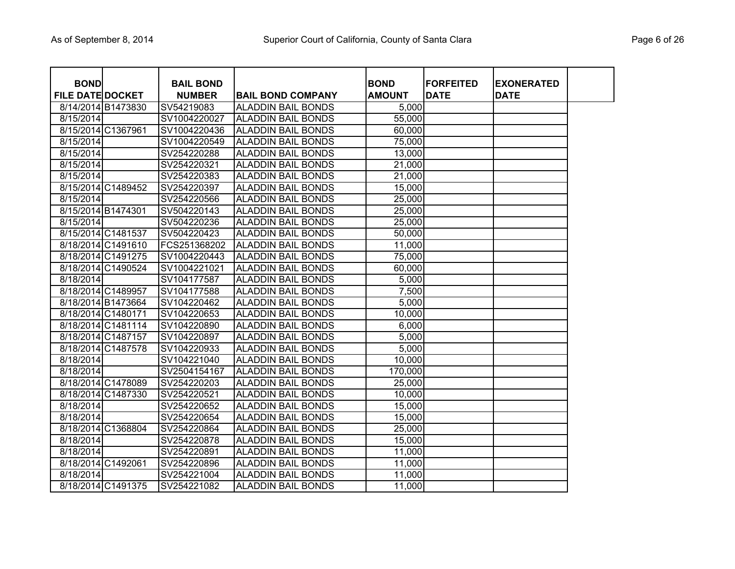| <b>BOND</b>             |                    | <b>BAIL BOND</b> |                           | <b>BOND</b>   | <b>FORFEITED</b> | <b>EXONERATED</b> |
|-------------------------|--------------------|------------------|---------------------------|---------------|------------------|-------------------|
| <b>FILE DATE DOCKET</b> |                    | <b>NUMBER</b>    | <b>BAIL BOND COMPANY</b>  | <b>AMOUNT</b> | <b>DATE</b>      | <b>DATE</b>       |
|                         | 8/14/2014 B1473830 | SV54219083       | <b>ALADDIN BAIL BONDS</b> | 5,000         |                  |                   |
| 8/15/2014               |                    | SV1004220027     | <b>ALADDIN BAIL BONDS</b> | 55,000        |                  |                   |
|                         | 8/15/2014 C1367961 | SV1004220436     | <b>ALADDIN BAIL BONDS</b> | 60,000        |                  |                   |
| 8/15/2014               |                    | SV1004220549     | <b>ALADDIN BAIL BONDS</b> | 75,000        |                  |                   |
| 8/15/2014               |                    | SV254220288      | <b>ALADDIN BAIL BONDS</b> | 13,000        |                  |                   |
| 8/15/2014               |                    | SV254220321      | <b>ALADDIN BAIL BONDS</b> | 21,000        |                  |                   |
| 8/15/2014               |                    | SV254220383      | <b>ALADDIN BAIL BONDS</b> | 21,000        |                  |                   |
|                         | 8/15/2014 C1489452 | SV254220397      | <b>ALADDIN BAIL BONDS</b> | 15,000        |                  |                   |
| 8/15/2014               |                    | SV254220566      | <b>ALADDIN BAIL BONDS</b> | 25,000        |                  |                   |
| 8/15/2014 B1474301      |                    | SV504220143      | <b>ALADDIN BAIL BONDS</b> | 25,000        |                  |                   |
| 8/15/2014               |                    | SV504220236      | <b>ALADDIN BAIL BONDS</b> | 25,000        |                  |                   |
|                         | 8/15/2014 C1481537 | SV504220423      | <b>ALADDIN BAIL BONDS</b> | 50,000        |                  |                   |
|                         | 8/18/2014 C1491610 | FCS251368202     | <b>ALADDIN BAIL BONDS</b> | 11,000        |                  |                   |
|                         | 8/18/2014 C1491275 | SV1004220443     | <b>ALADDIN BAIL BONDS</b> | 75,000        |                  |                   |
|                         | 8/18/2014 C1490524 | SV1004221021     | <b>ALADDIN BAIL BONDS</b> | 60,000        |                  |                   |
| 8/18/2014               |                    | SV104177587      | <b>ALADDIN BAIL BONDS</b> | 5,000         |                  |                   |
|                         | 8/18/2014 C1489957 | SV104177588      | <b>ALADDIN BAIL BONDS</b> | 7,500         |                  |                   |
|                         | 8/18/2014 B1473664 | SV104220462      | <b>ALADDIN BAIL BONDS</b> | 5,000         |                  |                   |
|                         | 8/18/2014 C1480171 | SV104220653      | <b>ALADDIN BAIL BONDS</b> | 10,000        |                  |                   |
|                         | 8/18/2014 C1481114 | SV104220890      | <b>ALADDIN BAIL BONDS</b> | 6,000         |                  |                   |
|                         | 8/18/2014 C1487157 | SV104220897      | <b>ALADDIN BAIL BONDS</b> | 5,000         |                  |                   |
|                         | 8/18/2014 C1487578 | SV104220933      | <b>ALADDIN BAIL BONDS</b> | 5,000         |                  |                   |
| 8/18/2014               |                    | SV104221040      | <b>ALADDIN BAIL BONDS</b> | 10,000        |                  |                   |
| 8/18/2014               |                    | SV2504154167     | <b>ALADDIN BAIL BONDS</b> | 170,000       |                  |                   |
|                         | 8/18/2014 C1478089 | SV254220203      | <b>ALADDIN BAIL BONDS</b> | 25,000        |                  |                   |
|                         | 8/18/2014 C1487330 | SV254220521      | <b>ALADDIN BAIL BONDS</b> | 10,000        |                  |                   |
| 8/18/2014               |                    | SV254220652      | <b>ALADDIN BAIL BONDS</b> | 15,000        |                  |                   |
| 8/18/2014               |                    | SV254220654      | <b>ALADDIN BAIL BONDS</b> | 15,000        |                  |                   |
|                         | 8/18/2014 C1368804 | SV254220864      | <b>ALADDIN BAIL BONDS</b> | 25,000        |                  |                   |
| 8/18/2014               |                    | SV254220878      | <b>ALADDIN BAIL BONDS</b> | 15,000        |                  |                   |
| 8/18/2014               |                    | SV254220891      | <b>ALADDIN BAIL BONDS</b> | 11,000        |                  |                   |
|                         | 8/18/2014 C1492061 | SV254220896      | <b>ALADDIN BAIL BONDS</b> | 11,000        |                  |                   |
| 8/18/2014               |                    | SV254221004      | <b>ALADDIN BAIL BONDS</b> | 11,000        |                  |                   |
|                         | 8/18/2014 C1491375 | SV254221082      | <b>ALADDIN BAIL BONDS</b> | 11,000        |                  |                   |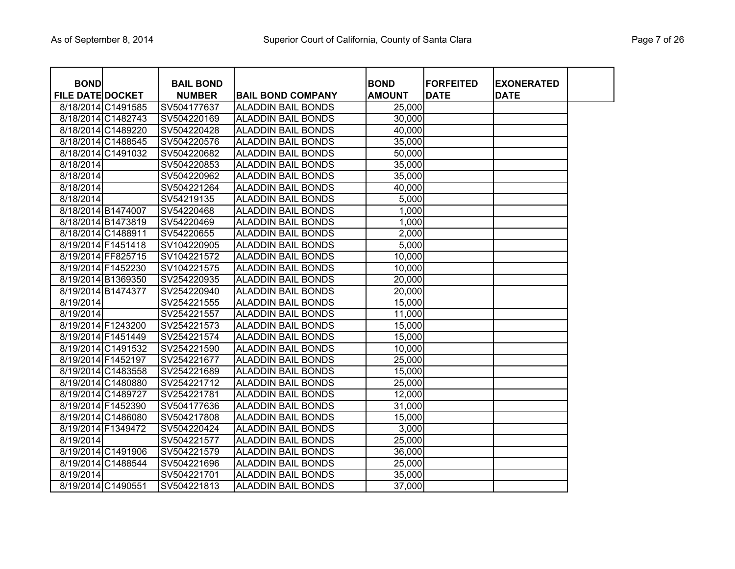| <b>BOND</b>             |                    | <b>BAIL BOND</b> |                           | <b>BOND</b>   | <b>FORFEITED</b> | <b>EXONERATED</b> |
|-------------------------|--------------------|------------------|---------------------------|---------------|------------------|-------------------|
| <b>FILE DATE DOCKET</b> |                    | <b>NUMBER</b>    | <b>BAIL BOND COMPANY</b>  | <b>AMOUNT</b> | <b>DATE</b>      | <b>DATE</b>       |
|                         | 8/18/2014 C1491585 | SV504177637      | <b>ALADDIN BAIL BONDS</b> | 25,000        |                  |                   |
|                         | 8/18/2014 C1482743 | SV504220169      | <b>ALADDIN BAIL BONDS</b> | 30,000        |                  |                   |
|                         | 8/18/2014 C1489220 | SV504220428      | <b>ALADDIN BAIL BONDS</b> | 40,000        |                  |                   |
|                         | 8/18/2014 C1488545 | SV504220576      | <b>ALADDIN BAIL BONDS</b> | 35,000        |                  |                   |
|                         | 8/18/2014 C1491032 | SV504220682      | <b>ALADDIN BAIL BONDS</b> | 50,000        |                  |                   |
| 8/18/2014               |                    | SV504220853      | <b>ALADDIN BAIL BONDS</b> | 35,000        |                  |                   |
| 8/18/2014               |                    | SV504220962      | <b>ALADDIN BAIL BONDS</b> | 35,000        |                  |                   |
| 8/18/2014               |                    | SV504221264      | <b>ALADDIN BAIL BONDS</b> | 40,000        |                  |                   |
| 8/18/2014               |                    | SV54219135       | <b>ALADDIN BAIL BONDS</b> | 5,000         |                  |                   |
| 8/18/2014 B1474007      |                    | SV54220468       | <b>ALADDIN BAIL BONDS</b> | 1,000         |                  |                   |
| 8/18/2014 B1473819      |                    | SV54220469       | <b>ALADDIN BAIL BONDS</b> | 1,000         |                  |                   |
| 8/18/2014 C1488911      |                    | SV54220655       | <b>ALADDIN BAIL BONDS</b> | 2,000         |                  |                   |
| 8/19/2014 F1451418      |                    | SV104220905      | <b>ALADDIN BAIL BONDS</b> | 5,000         |                  |                   |
| 8/19/2014 FF825715      |                    | SV104221572      | <b>ALADDIN BAIL BONDS</b> | 10,000        |                  |                   |
| 8/19/2014 F1452230      |                    | SV104221575      | <b>ALADDIN BAIL BONDS</b> | 10,000        |                  |                   |
| 8/19/2014 B1369350      |                    | SV254220935      | <b>ALADDIN BAIL BONDS</b> | 20,000        |                  |                   |
| 8/19/2014 B1474377      |                    | SV254220940      | <b>ALADDIN BAIL BONDS</b> | 20,000        |                  |                   |
| 8/19/2014               |                    | SV254221555      | <b>ALADDIN BAIL BONDS</b> | 15,000        |                  |                   |
| 8/19/2014               |                    | SV254221557      | <b>ALADDIN BAIL BONDS</b> | 11,000        |                  |                   |
| 8/19/2014 F1243200      |                    | SV254221573      | <b>ALADDIN BAIL BONDS</b> | 15,000        |                  |                   |
| 8/19/2014 F1451449      |                    | SV254221574      | <b>ALADDIN BAIL BONDS</b> | 15,000        |                  |                   |
|                         | 8/19/2014 C1491532 | SV254221590      | <b>ALADDIN BAIL BONDS</b> | 10,000        |                  |                   |
| 8/19/2014 F1452197      |                    | SV254221677      | <b>ALADDIN BAIL BONDS</b> | 25,000        |                  |                   |
|                         | 8/19/2014 C1483558 | SV254221689      | <b>ALADDIN BAIL BONDS</b> | 15,000        |                  |                   |
|                         | 8/19/2014 C1480880 | SV254221712      | <b>ALADDIN BAIL BONDS</b> | 25,000        |                  |                   |
| 8/19/2014 C1489727      |                    | SV254221781      | <b>ALADDIN BAIL BONDS</b> | 12,000        |                  |                   |
| 8/19/2014 F1452390      |                    | SV504177636      | <b>ALADDIN BAIL BONDS</b> | 31,000        |                  |                   |
|                         | 8/19/2014 C1486080 | SV504217808      | <b>ALADDIN BAIL BONDS</b> | 15,000        |                  |                   |
| 8/19/2014 F1349472      |                    | SV504220424      | <b>ALADDIN BAIL BONDS</b> | 3,000         |                  |                   |
| 8/19/2014               |                    | SV504221577      | <b>ALADDIN BAIL BONDS</b> | 25,000        |                  |                   |
|                         | 8/19/2014 C1491906 | SV504221579      | <b>ALADDIN BAIL BONDS</b> | 36,000        |                  |                   |
|                         | 8/19/2014 C1488544 | SV504221696      | <b>ALADDIN BAIL BONDS</b> | 25,000        |                  |                   |
| 8/19/2014               |                    | SV504221701      | <b>ALADDIN BAIL BONDS</b> | 35,000        |                  |                   |
| 8/19/2014 C1490551      |                    | SV504221813      | <b>ALADDIN BAIL BONDS</b> | 37,000        |                  |                   |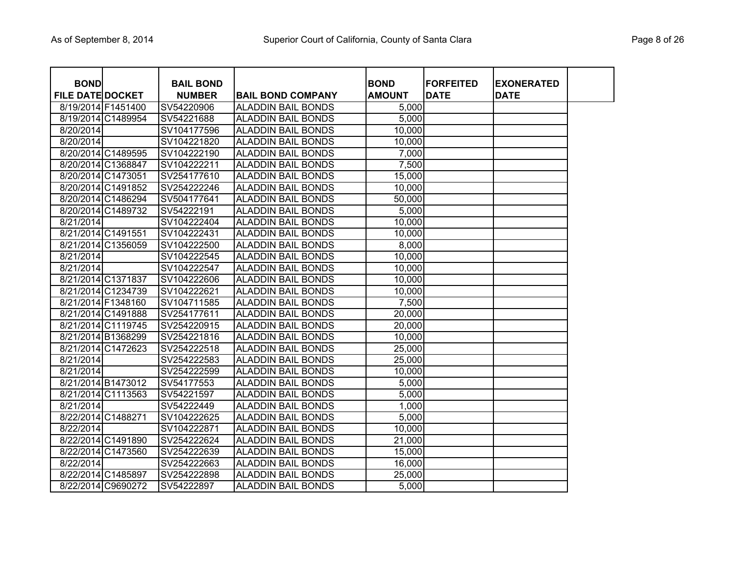| <b>BOND</b>             |                    | <b>BAIL BOND</b> |                           | <b>BOND</b>   | <b>FORFEITED</b> | <b>EXONERATED</b> |
|-------------------------|--------------------|------------------|---------------------------|---------------|------------------|-------------------|
| <b>FILE DATE DOCKET</b> |                    | <b>NUMBER</b>    | <b>BAIL BOND COMPANY</b>  | <b>AMOUNT</b> | <b>DATE</b>      | <b>DATE</b>       |
|                         | 8/19/2014 F1451400 | SV54220906       | <b>ALADDIN BAIL BONDS</b> | 5,000         |                  |                   |
|                         | 8/19/2014 C1489954 | SV54221688       | <b>ALADDIN BAIL BONDS</b> | 5,000         |                  |                   |
| 8/20/2014               |                    | SV104177596      | <b>ALADDIN BAIL BONDS</b> | 10,000        |                  |                   |
| 8/20/2014               |                    | SV104221820      | <b>ALADDIN BAIL BONDS</b> | 10,000        |                  |                   |
|                         | 8/20/2014 C1489595 | SV104222190      | <b>ALADDIN BAIL BONDS</b> | 7,000         |                  |                   |
|                         | 8/20/2014 C1368847 | SV104222211      | <b>ALADDIN BAIL BONDS</b> | 7,500         |                  |                   |
|                         | 8/20/2014 C1473051 | SV254177610      | <b>ALADDIN BAIL BONDS</b> | 15,000        |                  |                   |
|                         | 8/20/2014 C1491852 | SV254222246      | <b>ALADDIN BAIL BONDS</b> | 10,000        |                  |                   |
|                         | 8/20/2014 C1486294 | SV504177641      | <b>ALADDIN BAIL BONDS</b> | 50,000        |                  |                   |
|                         | 8/20/2014 C1489732 | SV54222191       | <b>ALADDIN BAIL BONDS</b> | 5,000         |                  |                   |
| 8/21/2014               |                    | SV104222404      | <b>ALADDIN BAIL BONDS</b> | 10,000        |                  |                   |
|                         | 8/21/2014 C1491551 | SV104222431      | <b>ALADDIN BAIL BONDS</b> | 10,000        |                  |                   |
|                         | 8/21/2014 C1356059 | SV104222500      | <b>ALADDIN BAIL BONDS</b> | 8,000         |                  |                   |
| 8/21/2014               |                    | SV104222545      | <b>ALADDIN BAIL BONDS</b> | 10,000        |                  |                   |
| 8/21/2014               |                    | SV104222547      | <b>ALADDIN BAIL BONDS</b> | 10,000        |                  |                   |
|                         | 8/21/2014 C1371837 | SV104222606      | <b>ALADDIN BAIL BONDS</b> | 10,000        |                  |                   |
|                         | 8/21/2014 C1234739 | SV104222621      | <b>ALADDIN BAIL BONDS</b> | 10,000        |                  |                   |
|                         | 8/21/2014 F1348160 | SV104711585      | <b>ALADDIN BAIL BONDS</b> | 7,500         |                  |                   |
|                         | 8/21/2014 C1491888 | SV254177611      | <b>ALADDIN BAIL BONDS</b> | 20,000        |                  |                   |
|                         | 8/21/2014 C1119745 | SV254220915      | <b>ALADDIN BAIL BONDS</b> | 20,000        |                  |                   |
|                         | 8/21/2014 B1368299 | SV254221816      | <b>ALADDIN BAIL BONDS</b> | 10,000        |                  |                   |
|                         | 8/21/2014 C1472623 | SV254222518      | <b>ALADDIN BAIL BONDS</b> | 25,000        |                  |                   |
| 8/21/2014               |                    | SV254222583      | <b>ALADDIN BAIL BONDS</b> | 25,000        |                  |                   |
| 8/21/2014               |                    | SV254222599      | <b>ALADDIN BAIL BONDS</b> | 10,000        |                  |                   |
|                         | 8/21/2014 B1473012 | SV54177553       | <b>ALADDIN BAIL BONDS</b> | 5,000         |                  |                   |
|                         | 8/21/2014 C1113563 | SV54221597       | <b>ALADDIN BAIL BONDS</b> | 5,000         |                  |                   |
| 8/21/2014               |                    | SV54222449       | <b>ALADDIN BAIL BONDS</b> | 1,000         |                  |                   |
|                         | 8/22/2014 C1488271 | SV104222625      | <b>ALADDIN BAIL BONDS</b> | 5,000         |                  |                   |
| 8/22/2014               |                    | SV104222871      | <b>ALADDIN BAIL BONDS</b> | 10,000        |                  |                   |
|                         | 8/22/2014 C1491890 | SV254222624      | <b>ALADDIN BAIL BONDS</b> | 21,000        |                  |                   |
|                         | 8/22/2014 C1473560 | SV254222639      | <b>ALADDIN BAIL BONDS</b> | 15,000        |                  |                   |
| 8/22/2014               |                    | SV254222663      | <b>ALADDIN BAIL BONDS</b> | 16,000        |                  |                   |
|                         | 8/22/2014 C1485897 | SV254222898      | <b>ALADDIN BAIL BONDS</b> | 25,000        |                  |                   |
|                         | 8/22/2014 C9690272 | SV54222897       | <b>ALADDIN BAIL BONDS</b> | 5,000         |                  |                   |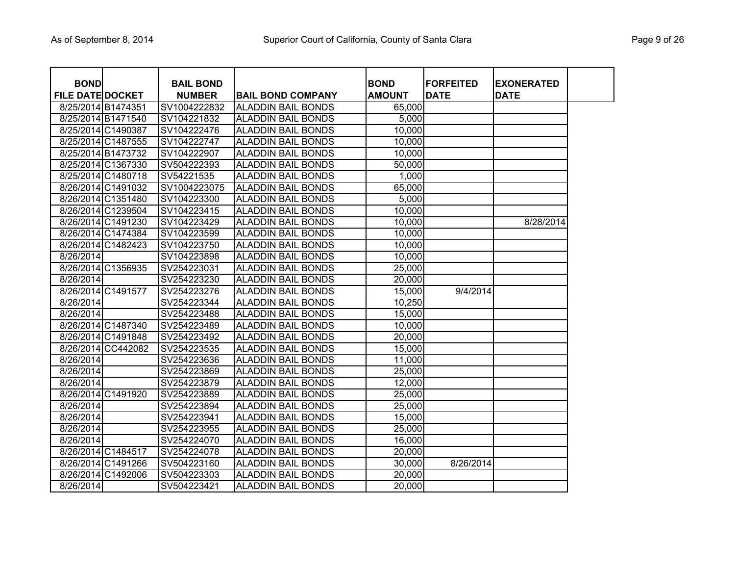| <b>BOND</b>             |                    | <b>BAIL BOND</b> |                           | <b>BOND</b>   | <b>FORFEITED</b> | <b>EXONERATED</b> |
|-------------------------|--------------------|------------------|---------------------------|---------------|------------------|-------------------|
| <b>FILE DATE DOCKET</b> |                    | <b>NUMBER</b>    | <b>BAIL BOND COMPANY</b>  | <b>AMOUNT</b> | <b>DATE</b>      | <b>DATE</b>       |
|                         | 8/25/2014 B1474351 | SV1004222832     | <b>ALADDIN BAIL BONDS</b> | 65,000        |                  |                   |
|                         | 8/25/2014 B1471540 | SV104221832      | <b>ALADDIN BAIL BONDS</b> | 5,000         |                  |                   |
|                         | 8/25/2014 C1490387 | SV104222476      | <b>ALADDIN BAIL BONDS</b> | 10,000        |                  |                   |
|                         | 8/25/2014 C1487555 | SV104222747      | <b>ALADDIN BAIL BONDS</b> | 10,000        |                  |                   |
|                         | 8/25/2014 B1473732 | SV104222907      | <b>ALADDIN BAIL BONDS</b> | 10,000        |                  |                   |
|                         | 8/25/2014 C1367330 | SV504222393      | <b>ALADDIN BAIL BONDS</b> | 50,000        |                  |                   |
|                         | 8/25/2014 C1480718 | SV54221535       | <b>ALADDIN BAIL BONDS</b> | 1,000         |                  |                   |
|                         | 8/26/2014 C1491032 | SV1004223075     | <b>ALADDIN BAIL BONDS</b> | 65,000        |                  |                   |
|                         | 8/26/2014 C1351480 | SV104223300      | <b>ALADDIN BAIL BONDS</b> | 5,000         |                  |                   |
|                         | 8/26/2014 C1239504 | SV104223415      | <b>ALADDIN BAIL BONDS</b> | 10,000        |                  |                   |
|                         | 8/26/2014 C1491230 | SV104223429      | <b>ALADDIN BAIL BONDS</b> | 10,000        |                  | 8/28/2014         |
|                         | 8/26/2014 C1474384 | SV104223599      | <b>ALADDIN BAIL BONDS</b> | 10,000        |                  |                   |
|                         | 8/26/2014 C1482423 | SV104223750      | <b>ALADDIN BAIL BONDS</b> | 10,000        |                  |                   |
| 8/26/2014               |                    | SV104223898      | <b>ALADDIN BAIL BONDS</b> | 10,000        |                  |                   |
|                         | 8/26/2014 C1356935 | SV254223031      | <b>ALADDIN BAIL BONDS</b> | 25,000        |                  |                   |
| 8/26/2014               |                    | SV254223230      | <b>ALADDIN BAIL BONDS</b> | 20,000        |                  |                   |
|                         | 8/26/2014 C1491577 | SV254223276      | <b>ALADDIN BAIL BONDS</b> | 15,000        | 9/4/2014         |                   |
| 8/26/2014               |                    | SV254223344      | <b>ALADDIN BAIL BONDS</b> | 10,250        |                  |                   |
| 8/26/2014               |                    | SV254223488      | <b>ALADDIN BAIL BONDS</b> | 15,000        |                  |                   |
|                         | 8/26/2014 C1487340 | SV254223489      | <b>ALADDIN BAIL BONDS</b> | 10,000        |                  |                   |
|                         | 8/26/2014 C1491848 | SV254223492      | <b>ALADDIN BAIL BONDS</b> | 20,000        |                  |                   |
|                         | 8/26/2014 CC442082 | SV254223535      | <b>ALADDIN BAIL BONDS</b> | 15,000        |                  |                   |
| 8/26/2014               |                    | SV254223636      | <b>ALADDIN BAIL BONDS</b> | 11,000        |                  |                   |
| 8/26/2014               |                    | SV254223869      | <b>ALADDIN BAIL BONDS</b> | 25,000        |                  |                   |
| 8/26/2014               |                    | SV254223879      | <b>ALADDIN BAIL BONDS</b> | 12,000        |                  |                   |
|                         | 8/26/2014 C1491920 | SV254223889      | <b>ALADDIN BAIL BONDS</b> | 25,000        |                  |                   |
| 8/26/2014               |                    | SV254223894      | <b>ALADDIN BAIL BONDS</b> | 25,000        |                  |                   |
| 8/26/2014               |                    | SV254223941      | <b>ALADDIN BAIL BONDS</b> | 15,000        |                  |                   |
| 8/26/2014               |                    | SV254223955      | <b>ALADDIN BAIL BONDS</b> | 25,000        |                  |                   |
| 8/26/2014               |                    | SV254224070      | <b>ALADDIN BAIL BONDS</b> | 16,000        |                  |                   |
|                         | 8/26/2014 C1484517 | SV254224078      | <b>ALADDIN BAIL BONDS</b> | 20,000        |                  |                   |
|                         | 8/26/2014 C1491266 | SV504223160      | <b>ALADDIN BAIL BONDS</b> | 30,000        | 8/26/2014        |                   |
|                         | 8/26/2014 C1492006 | SV504223303      | <b>ALADDIN BAIL BONDS</b> | 20,000        |                  |                   |
| 8/26/2014               |                    | SV504223421      | <b>ALADDIN BAIL BONDS</b> | 20,000        |                  |                   |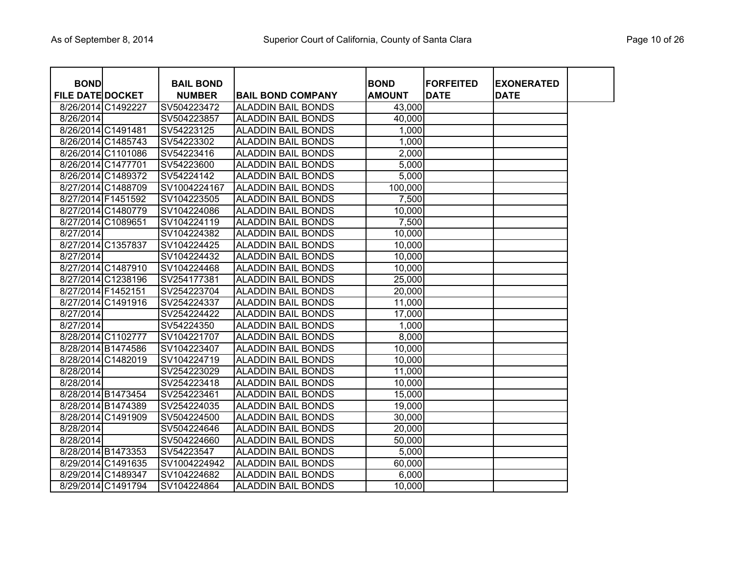| <b>BOND</b>             |                    | <b>BAIL BOND</b> |                           | <b>BOND</b>   | <b>FORFEITED</b> | <b>EXONERATED</b> |  |
|-------------------------|--------------------|------------------|---------------------------|---------------|------------------|-------------------|--|
| <b>FILE DATE DOCKET</b> |                    | <b>NUMBER</b>    | <b>BAIL BOND COMPANY</b>  | <b>AMOUNT</b> | <b>DATE</b>      | <b>DATE</b>       |  |
|                         | 8/26/2014 C1492227 | SV504223472      | <b>ALADDIN BAIL BONDS</b> | 43,000        |                  |                   |  |
| 8/26/2014               |                    | SV504223857      | <b>ALADDIN BAIL BONDS</b> | 40,000        |                  |                   |  |
| 8/26/2014 C1491481      |                    | SV54223125       | <b>ALADDIN BAIL BONDS</b> | 1,000         |                  |                   |  |
|                         | 8/26/2014 C1485743 | SV54223302       | <b>ALADDIN BAIL BONDS</b> | 1,000         |                  |                   |  |
|                         | 8/26/2014 C1101086 | SV54223416       | <b>ALADDIN BAIL BONDS</b> | 2,000         |                  |                   |  |
|                         | 8/26/2014 C1477701 | SV54223600       | <b>ALADDIN BAIL BONDS</b> | 5,000         |                  |                   |  |
|                         | 8/26/2014 C1489372 | SV54224142       | <b>ALADDIN BAIL BONDS</b> | 5,000         |                  |                   |  |
|                         | 8/27/2014 C1488709 | SV1004224167     | <b>ALADDIN BAIL BONDS</b> | 100,000       |                  |                   |  |
|                         | 8/27/2014 F1451592 | SV104223505      | <b>ALADDIN BAIL BONDS</b> | 7,500         |                  |                   |  |
|                         | 8/27/2014 C1480779 | SV104224086      | <b>ALADDIN BAIL BONDS</b> | 10,000        |                  |                   |  |
|                         | 8/27/2014 C1089651 | SV104224119      | <b>ALADDIN BAIL BONDS</b> | 7,500         |                  |                   |  |
| 8/27/2014               |                    | SV104224382      | <b>ALADDIN BAIL BONDS</b> | 10,000        |                  |                   |  |
|                         | 8/27/2014 C1357837 | SV104224425      | <b>ALADDIN BAIL BONDS</b> | 10,000        |                  |                   |  |
| 8/27/2014               |                    | SV104224432      | <b>ALADDIN BAIL BONDS</b> | 10,000        |                  |                   |  |
|                         | 8/27/2014 C1487910 | SV104224468      | <b>ALADDIN BAIL BONDS</b> | 10,000        |                  |                   |  |
|                         | 8/27/2014 C1238196 | SV254177381      | <b>ALADDIN BAIL BONDS</b> | 25,000        |                  |                   |  |
| 8/27/2014 F1452151      |                    | SV254223704      | <b>ALADDIN BAIL BONDS</b> | 20,000        |                  |                   |  |
|                         | 8/27/2014 C1491916 | SV254224337      | <b>ALADDIN BAIL BONDS</b> | 11,000        |                  |                   |  |
| 8/27/2014               |                    | SV254224422      | <b>ALADDIN BAIL BONDS</b> | 17,000        |                  |                   |  |
| 8/27/2014               |                    | SV54224350       | <b>ALADDIN BAIL BONDS</b> | 1,000         |                  |                   |  |
|                         | 8/28/2014 C1102777 | SV104221707      | <b>ALADDIN BAIL BONDS</b> | 8,000         |                  |                   |  |
|                         | 8/28/2014 B1474586 | SV104223407      | <b>ALADDIN BAIL BONDS</b> | 10,000        |                  |                   |  |
|                         | 8/28/2014 C1482019 | SV104224719      | <b>ALADDIN BAIL BONDS</b> | 10,000        |                  |                   |  |
| 8/28/2014               |                    | SV254223029      | <b>ALADDIN BAIL BONDS</b> | 11,000        |                  |                   |  |
| 8/28/2014               |                    | SV254223418      | <b>ALADDIN BAIL BONDS</b> | 10,000        |                  |                   |  |
|                         | 8/28/2014 B1473454 | SV254223461      | <b>ALADDIN BAIL BONDS</b> | 15,000        |                  |                   |  |
|                         | 8/28/2014 B1474389 | SV254224035      | <b>ALADDIN BAIL BONDS</b> | 19,000        |                  |                   |  |
|                         | 8/28/2014 C1491909 | SV504224500      | <b>ALADDIN BAIL BONDS</b> | 30,000        |                  |                   |  |
| 8/28/2014               |                    | SV504224646      | <b>ALADDIN BAIL BONDS</b> | 20,000        |                  |                   |  |
| 8/28/2014               |                    | SV504224660      | <b>ALADDIN BAIL BONDS</b> | 50,000        |                  |                   |  |
|                         | 8/28/2014 B1473353 | SV54223547       | <b>ALADDIN BAIL BONDS</b> | 5,000         |                  |                   |  |
|                         | 8/29/2014 C1491635 | SV1004224942     | <b>ALADDIN BAIL BONDS</b> | 60,000        |                  |                   |  |
|                         | 8/29/2014 C1489347 | SV104224682      | <b>ALADDIN BAIL BONDS</b> | 6,000         |                  |                   |  |
|                         | 8/29/2014 C1491794 | SV104224864      | <b>ALADDIN BAIL BONDS</b> | 10,000        |                  |                   |  |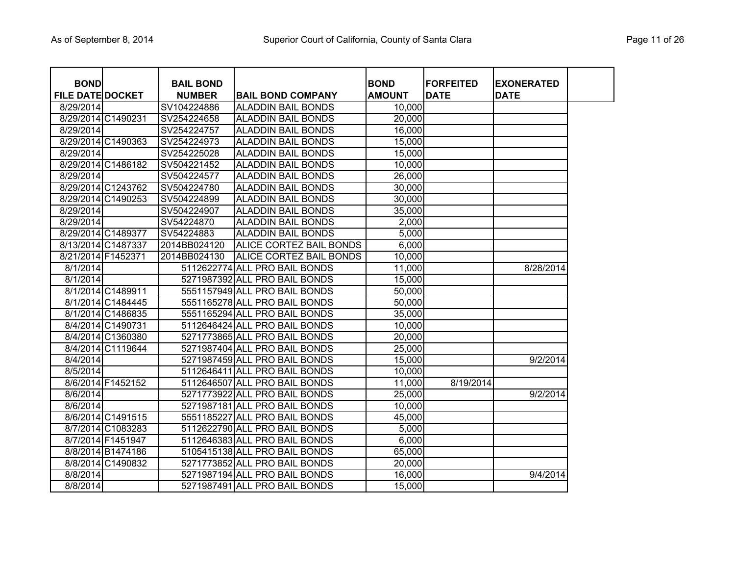| <b>BOND</b>             |                    | <b>BAIL BOND</b> |                               | <b>BOND</b>   | <b>FORFEITED</b> | <b>EXONERATED</b> |
|-------------------------|--------------------|------------------|-------------------------------|---------------|------------------|-------------------|
| <b>FILE DATE DOCKET</b> |                    | <b>NUMBER</b>    | <b>BAIL BOND COMPANY</b>      | <b>AMOUNT</b> | <b>DATE</b>      | <b>DATE</b>       |
| 8/29/2014               |                    | SV104224886      | <b>ALADDIN BAIL BONDS</b>     | 10,000        |                  |                   |
|                         | 8/29/2014 C1490231 | SV254224658      | <b>ALADDIN BAIL BONDS</b>     | 20,000        |                  |                   |
| 8/29/2014               |                    | SV254224757      | <b>ALADDIN BAIL BONDS</b>     | 16,000        |                  |                   |
|                         | 8/29/2014 C1490363 | SV254224973      | <b>ALADDIN BAIL BONDS</b>     | 15,000        |                  |                   |
| 8/29/2014               |                    | SV254225028      | <b>ALADDIN BAIL BONDS</b>     | 15,000        |                  |                   |
|                         | 8/29/2014 C1486182 | SV504221452      | <b>ALADDIN BAIL BONDS</b>     | 10,000        |                  |                   |
| 8/29/2014               |                    | SV504224577      | <b>ALADDIN BAIL BONDS</b>     | 26,000        |                  |                   |
|                         | 8/29/2014 C1243762 | SV504224780      | <b>ALADDIN BAIL BONDS</b>     | 30,000        |                  |                   |
|                         | 8/29/2014 C1490253 | SV504224899      | <b>ALADDIN BAIL BONDS</b>     | 30,000        |                  |                   |
| 8/29/2014               |                    | SV504224907      | <b>ALADDIN BAIL BONDS</b>     | 35,000        |                  |                   |
| 8/29/2014               |                    | SV54224870       | <b>ALADDIN BAIL BONDS</b>     | 2,000         |                  |                   |
|                         | 8/29/2014 C1489377 | SV54224883       | <b>ALADDIN BAIL BONDS</b>     | 5,000         |                  |                   |
|                         | 8/13/2014 C1487337 | 2014BB024120     | ALICE CORTEZ BAIL BONDS       | 6,000         |                  |                   |
| 8/21/2014 F1452371      |                    | 2014BB024130     | ALICE CORTEZ BAIL BONDS       | 10,000        |                  |                   |
| 8/1/2014                |                    |                  | 5112622774 ALL PRO BAIL BONDS | 11,000        |                  | 8/28/2014         |
| 8/1/2014                |                    |                  | 5271987392 ALL PRO BAIL BONDS | 15,000        |                  |                   |
|                         | 8/1/2014 C1489911  |                  | 5551157949 ALL PRO BAIL BONDS | 50,000        |                  |                   |
|                         | 8/1/2014 C1484445  |                  | 5551165278 ALL PRO BAIL BONDS | 50,000        |                  |                   |
|                         | 8/1/2014 C1486835  |                  | 5551165294 ALL PRO BAIL BONDS | 35,000        |                  |                   |
|                         | 8/4/2014 C1490731  |                  | 5112646424 ALL PRO BAIL BONDS | 10,000        |                  |                   |
|                         | 8/4/2014 C1360380  |                  | 5271773865 ALL PRO BAIL BONDS | 20,000        |                  |                   |
|                         | 8/4/2014 C1119644  |                  | 5271987404 ALL PRO BAIL BONDS | 25,000        |                  |                   |
| 8/4/2014                |                    |                  | 5271987459 ALL PRO BAIL BONDS | 15,000        |                  | 9/2/2014          |
| 8/5/2014                |                    |                  | 5112646411 ALL PRO BAIL BONDS | 10,000        |                  |                   |
|                         | 8/6/2014 F1452152  |                  | 5112646507 ALL PRO BAIL BONDS | 11,000        | 8/19/2014        |                   |
| 8/6/2014                |                    |                  | 5271773922 ALL PRO BAIL BONDS | 25,000        |                  | 9/2/2014          |
| 8/6/2014                |                    |                  | 5271987181 ALL PRO BAIL BONDS | 10,000        |                  |                   |
|                         | 8/6/2014 C1491515  |                  | 5551185227 ALL PRO BAIL BONDS | 45,000        |                  |                   |
|                         | 8/7/2014 C1083283  |                  | 5112622790 ALL PRO BAIL BONDS | 5,000         |                  |                   |
|                         | 8/7/2014 F1451947  |                  | 5112646383 ALL PRO BAIL BONDS | 6,000         |                  |                   |
|                         | 8/8/2014 B1474186  |                  | 5105415138 ALL PRO BAIL BONDS | 65,000        |                  |                   |
|                         | 8/8/2014 C1490832  |                  | 5271773852 ALL PRO BAIL BONDS | 20,000        |                  |                   |
| 8/8/2014                |                    |                  | 5271987194 ALL PRO BAIL BONDS | 16,000        |                  | 9/4/2014          |
| 8/8/2014                |                    |                  | 5271987491 ALL PRO BAIL BONDS | 15,000        |                  |                   |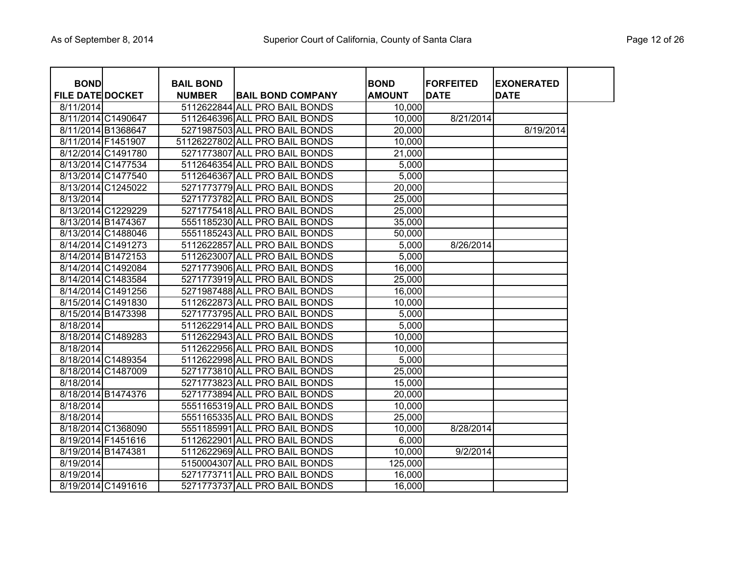| <b>BOND</b>             |                    | <b>BAIL BOND</b> |                                | <b>BOND</b>   | <b>FORFEITED</b> | <b>EXONERATED</b> |  |
|-------------------------|--------------------|------------------|--------------------------------|---------------|------------------|-------------------|--|
| <b>FILE DATE DOCKET</b> |                    | <b>NUMBER</b>    | <b>BAIL BOND COMPANY</b>       | <b>AMOUNT</b> | <b>DATE</b>      | <b>DATE</b>       |  |
| 8/11/2014               |                    |                  | 5112622844 ALL PRO BAIL BONDS  | 10,000        |                  |                   |  |
|                         | 8/11/2014 C1490647 |                  | 5112646396 ALL PRO BAIL BONDS  | 10,000        | 8/21/2014        |                   |  |
|                         | 8/11/2014 B1368647 |                  | 5271987503 ALL PRO BAIL BONDS  | 20,000        |                  | 8/19/2014         |  |
|                         | 8/11/2014 F1451907 |                  | 51126227802 ALL PRO BAIL BONDS | 10,000        |                  |                   |  |
|                         | 8/12/2014 C1491780 |                  | 5271773807 ALL PRO BAIL BONDS  | 21,000        |                  |                   |  |
|                         | 8/13/2014 C1477534 |                  | 5112646354 ALL PRO BAIL BONDS  | 5,000         |                  |                   |  |
|                         | 8/13/2014 C1477540 |                  | 5112646367 ALL PRO BAIL BONDS  | 5,000         |                  |                   |  |
|                         | 8/13/2014 C1245022 |                  | 5271773779 ALL PRO BAIL BONDS  | 20,000        |                  |                   |  |
| 8/13/2014               |                    |                  | 5271773782 ALL PRO BAIL BONDS  | 25,000        |                  |                   |  |
|                         | 8/13/2014 C1229229 |                  | 5271775418 ALL PRO BAIL BONDS  | 25,000        |                  |                   |  |
|                         | 8/13/2014 B1474367 |                  | 5551185230 ALL PRO BAIL BONDS  | 35,000        |                  |                   |  |
|                         | 8/13/2014 C1488046 |                  | 5551185243 ALL PRO BAIL BONDS  | 50,000        |                  |                   |  |
|                         | 8/14/2014 C1491273 |                  | 5112622857 ALL PRO BAIL BONDS  | 5,000         | 8/26/2014        |                   |  |
|                         | 8/14/2014 B1472153 |                  | 5112623007 ALL PRO BAIL BONDS  | 5,000         |                  |                   |  |
|                         | 8/14/2014 C1492084 |                  | 5271773906 ALL PRO BAIL BONDS  | 16,000        |                  |                   |  |
|                         | 8/14/2014 C1483584 |                  | 5271773919 ALL PRO BAIL BONDS  | 25,000        |                  |                   |  |
|                         | 8/14/2014 C1491256 |                  | 5271987488 ALL PRO BAIL BONDS  | 16,000        |                  |                   |  |
|                         | 8/15/2014 C1491830 |                  | 5112622873 ALL PRO BAIL BONDS  | 10,000        |                  |                   |  |
|                         | 8/15/2014 B1473398 |                  | 5271773795 ALL PRO BAIL BONDS  | 5,000         |                  |                   |  |
| 8/18/2014               |                    |                  | 5112622914 ALL PRO BAIL BONDS  | 5,000         |                  |                   |  |
|                         | 8/18/2014 C1489283 |                  | 5112622943 ALL PRO BAIL BONDS  | 10,000        |                  |                   |  |
| 8/18/2014               |                    |                  | 5112622956 ALL PRO BAIL BONDS  | 10,000        |                  |                   |  |
|                         | 8/18/2014 C1489354 |                  | 5112622998 ALL PRO BAIL BONDS  | 5,000         |                  |                   |  |
|                         | 8/18/2014 C1487009 |                  | 5271773810 ALL PRO BAIL BONDS  | 25,000        |                  |                   |  |
| 8/18/2014               |                    |                  | 5271773823 ALL PRO BAIL BONDS  | 15,000        |                  |                   |  |
|                         | 8/18/2014 B1474376 |                  | 5271773894 ALL PRO BAIL BONDS  | 20,000        |                  |                   |  |
| 8/18/2014               |                    |                  | 5551165319 ALL PRO BAIL BONDS  | 10,000        |                  |                   |  |
| 8/18/2014               |                    |                  | 5551165335 ALL PRO BAIL BONDS  | 25,000        |                  |                   |  |
|                         | 8/18/2014 C1368090 |                  | 5551185991 ALL PRO BAIL BONDS  | 10,000        | 8/28/2014        |                   |  |
|                         | 8/19/2014 F1451616 |                  | 5112622901 ALL PRO BAIL BONDS  | 6,000         |                  |                   |  |
|                         | 8/19/2014 B1474381 |                  | 5112622969 ALL PRO BAIL BONDS  | 10,000        | 9/2/2014         |                   |  |
| 8/19/2014               |                    |                  | 5150004307 ALL PRO BAIL BONDS  | 125,000       |                  |                   |  |
| $\overline{8}$ /19/2014 |                    |                  | 5271773711 ALL PRO BAIL BONDS  | 16,000        |                  |                   |  |
|                         | 8/19/2014 C1491616 |                  | 5271773737 ALL PRO BAIL BONDS  | 16,000        |                  |                   |  |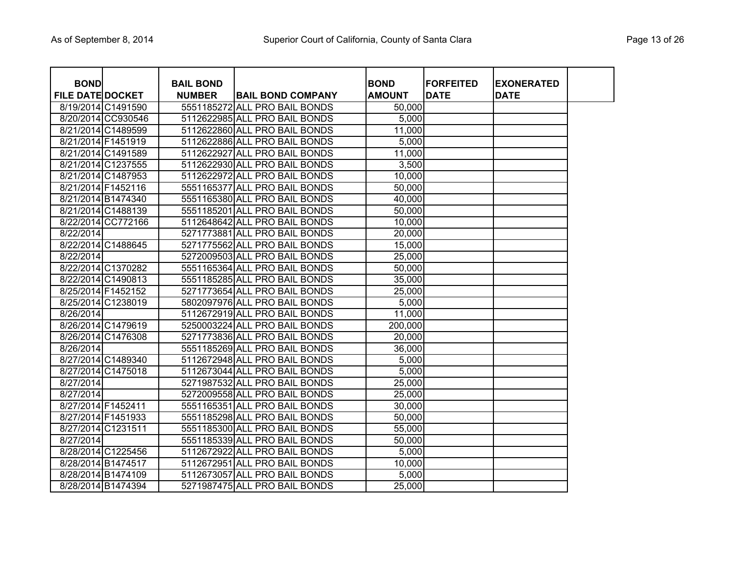| <b>BOND</b>             |                    | <b>BAIL BOND</b> |                               | <b>BOND</b>   | <b>FORFEITED</b> | <b>EXONERATED</b> |  |
|-------------------------|--------------------|------------------|-------------------------------|---------------|------------------|-------------------|--|
| <b>FILE DATE DOCKET</b> |                    | <b>NUMBER</b>    | <b>BAIL BOND COMPANY</b>      | <b>AMOUNT</b> | <b>DATE</b>      | <b>DATE</b>       |  |
|                         | 8/19/2014 C1491590 |                  | 5551185272 ALL PRO BAIL BONDS | 50,000        |                  |                   |  |
|                         | 8/20/2014 CC930546 |                  | 5112622985 ALL PRO BAIL BONDS | 5,000         |                  |                   |  |
|                         | 8/21/2014 C1489599 |                  | 5112622860 ALL PRO BAIL BONDS | 11,000        |                  |                   |  |
|                         | 8/21/2014 F1451919 |                  | 5112622886 ALL PRO BAIL BONDS | 5,000         |                  |                   |  |
|                         | 8/21/2014 C1491589 |                  | 5112622927 ALL PRO BAIL BONDS | 11,000        |                  |                   |  |
|                         | 8/21/2014 C1237555 |                  | 5112622930 ALL PRO BAIL BONDS | 3,500         |                  |                   |  |
|                         | 8/21/2014 C1487953 |                  | 5112622972 ALL PRO BAIL BONDS | 10,000        |                  |                   |  |
|                         | 8/21/2014 F1452116 |                  | 5551165377 ALL PRO BAIL BONDS | 50,000        |                  |                   |  |
|                         | 8/21/2014 B1474340 |                  | 5551165380 ALL PRO BAIL BONDS | 40,000        |                  |                   |  |
|                         | 8/21/2014 C1488139 |                  | 5551185201 ALL PRO BAIL BONDS | 50,000        |                  |                   |  |
|                         | 8/22/2014 CC772166 |                  | 5112648642 ALL PRO BAIL BONDS | 10,000        |                  |                   |  |
| 8/22/2014               |                    |                  | 5271773881 ALL PRO BAIL BONDS | 20,000        |                  |                   |  |
|                         | 8/22/2014 C1488645 |                  | 5271775562 ALL PRO BAIL BONDS | 15,000        |                  |                   |  |
| 8/22/2014               |                    |                  | 5272009503 ALL PRO BAIL BONDS | 25,000        |                  |                   |  |
|                         | 8/22/2014 C1370282 |                  | 5551165364 ALL PRO BAIL BONDS | 50,000        |                  |                   |  |
|                         | 8/22/2014 C1490813 |                  | 5551185285 ALL PRO BAIL BONDS | 35,000        |                  |                   |  |
|                         | 8/25/2014 F1452152 |                  | 5271773654 ALL PRO BAIL BONDS | 25,000        |                  |                   |  |
|                         | 8/25/2014 C1238019 |                  | 5802097976 ALL PRO BAIL BONDS | 5,000         |                  |                   |  |
| 8/26/2014               |                    |                  | 5112672919 ALL PRO BAIL BONDS | 11,000        |                  |                   |  |
|                         | 8/26/2014 C1479619 |                  | 5250003224 ALL PRO BAIL BONDS | 200,000       |                  |                   |  |
|                         | 8/26/2014 C1476308 |                  | 5271773836 ALL PRO BAIL BONDS | 20,000        |                  |                   |  |
| 8/26/2014               |                    |                  | 5551185269 ALL PRO BAIL BONDS | 36,000        |                  |                   |  |
|                         | 8/27/2014 C1489340 |                  | 5112672948 ALL PRO BAIL BONDS | 5,000         |                  |                   |  |
|                         | 8/27/2014 C1475018 |                  | 5112673044 ALL PRO BAIL BONDS | 5,000         |                  |                   |  |
| 8/27/2014               |                    |                  | 5271987532 ALL PRO BAIL BONDS | 25,000        |                  |                   |  |
| 8/27/2014               |                    |                  | 5272009558 ALL PRO BAIL BONDS | 25,000        |                  |                   |  |
| 8/27/2014 F1452411      |                    |                  | 5551165351 ALL PRO BAIL BONDS | 30,000        |                  |                   |  |
|                         | 8/27/2014 F1451933 |                  | 5551185298 ALL PRO BAIL BONDS | 50,000        |                  |                   |  |
|                         | 8/27/2014 C1231511 |                  | 5551185300 ALL PRO BAIL BONDS | 55,000        |                  |                   |  |
| 8/27/2014               |                    |                  | 5551185339 ALL PRO BAIL BONDS | 50,000        |                  |                   |  |
|                         | 8/28/2014 C1225456 |                  | 5112672922 ALL PRO BAIL BONDS | 5,000         |                  |                   |  |
|                         | 8/28/2014 B1474517 |                  | 5112672951 ALL PRO BAIL BONDS | 10,000        |                  |                   |  |
|                         | 8/28/2014 B1474109 |                  | 5112673057 ALL PRO BAIL BONDS | 5,000         |                  |                   |  |
|                         | 8/28/2014 B1474394 |                  | 5271987475 ALL PRO BAIL BONDS | 25,000        |                  |                   |  |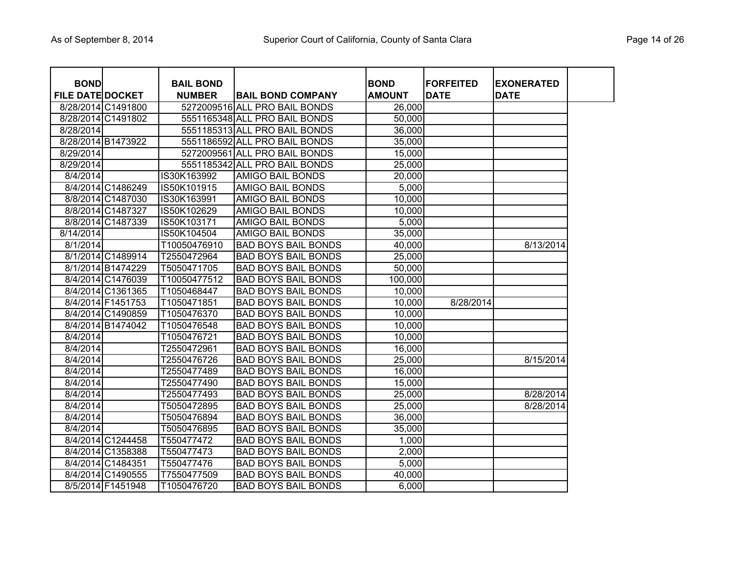| <b>BOND</b>             |                    | <b>BAIL BOND</b> |                               | <b>BOND</b>   | <b>FORFEITED</b> | <b>EXONERATED</b> |
|-------------------------|--------------------|------------------|-------------------------------|---------------|------------------|-------------------|
| <b>FILE DATE DOCKET</b> |                    | <b>NUMBER</b>    | <b>BAIL BOND COMPANY</b>      | <b>AMOUNT</b> | <b>DATE</b>      | <b>DATE</b>       |
|                         | 8/28/2014 C1491800 |                  | 5272009516 ALL PRO BAIL BONDS | 26,000        |                  |                   |
|                         | 8/28/2014 C1491802 |                  | 5551165348 ALL PRO BAIL BONDS | 50,000        |                  |                   |
| 8/28/2014               |                    |                  | 5551185313 ALL PRO BAIL BONDS | 36,000        |                  |                   |
|                         | 8/28/2014 B1473922 |                  | 5551186592 ALL PRO BAIL BONDS | 35,000        |                  |                   |
| 8/29/2014               |                    |                  | 5272009561 ALL PRO BAIL BONDS | 15,000        |                  |                   |
| 8/29/2014               |                    |                  | 5551185342 ALL PRO BAIL BONDS | 25,000        |                  |                   |
| 8/4/2014                |                    | IS30K163992      | <b>AMIGO BAIL BONDS</b>       | 20,000        |                  |                   |
|                         | 8/4/2014 C1486249  | IS50K101915      | <b>AMIGO BAIL BONDS</b>       | 5,000         |                  |                   |
|                         | 8/8/2014 C1487030  | IS30K163991      | <b>AMIGO BAIL BONDS</b>       | 10,000        |                  |                   |
|                         | 8/8/2014 C1487327  | IS50K102629      | <b>AMIGO BAIL BONDS</b>       | 10,000        |                  |                   |
|                         | 8/8/2014 C1487339  | IS50K103171      | <b>AMIGO BAIL BONDS</b>       | 5,000         |                  |                   |
| 8/14/2014               |                    | IS50K104504      | <b>AMIGO BAIL BONDS</b>       | 35,000        |                  |                   |
| 8/1/2014                |                    | T10050476910     | <b>BAD BOYS BAIL BONDS</b>    | 40,000        |                  | 8/13/2014         |
|                         | 8/1/2014 C1489914  | T2550472964      | <b>BAD BOYS BAIL BONDS</b>    | 25,000        |                  |                   |
|                         | 8/1/2014 B1474229  | T5050471705      | <b>BAD BOYS BAIL BONDS</b>    | 50,000        |                  |                   |
|                         | 8/4/2014 C1476039  | T10050477512     | <b>BAD BOYS BAIL BONDS</b>    | 100,000       |                  |                   |
|                         | 8/4/2014 C1361365  | T1050468447      | <b>BAD BOYS BAIL BONDS</b>    | 10,000        |                  |                   |
|                         | 8/4/2014 F1451753  | T1050471851      | <b>BAD BOYS BAIL BONDS</b>    | 10,000        | 8/28/2014        |                   |
|                         | 8/4/2014 C1490859  | T1050476370      | <b>BAD BOYS BAIL BONDS</b>    | 10,000        |                  |                   |
|                         | 8/4/2014 B1474042  | T1050476548      | <b>BAD BOYS BAIL BONDS</b>    | 10,000        |                  |                   |
| 8/4/2014                |                    | T1050476721      | <b>BAD BOYS BAIL BONDS</b>    | 10,000        |                  |                   |
| 8/4/2014                |                    | T2550472961      | <b>BAD BOYS BAIL BONDS</b>    | 16,000        |                  |                   |
| 8/4/2014                |                    | T2550476726      | <b>BAD BOYS BAIL BONDS</b>    | 25,000        |                  | 8/15/2014         |
| 8/4/2014                |                    | T2550477489      | <b>BAD BOYS BAIL BONDS</b>    | 16,000        |                  |                   |
| 8/4/2014                |                    | T2550477490      | <b>BAD BOYS BAIL BONDS</b>    | 15,000        |                  |                   |
| 8/4/2014                |                    | T2550477493      | <b>BAD BOYS BAIL BONDS</b>    | 25,000        |                  | 8/28/2014         |
| 8/4/2014                |                    | T5050472895      | <b>BAD BOYS BAIL BONDS</b>    | 25,000        |                  | 8/28/2014         |
| 8/4/2014                |                    | T5050476894      | <b>BAD BOYS BAIL BONDS</b>    | 36,000        |                  |                   |
| 8/4/2014                |                    | T5050476895      | <b>BAD BOYS BAIL BONDS</b>    | 35,000        |                  |                   |
|                         | 8/4/2014 C1244458  | T550477472       | <b>BAD BOYS BAIL BONDS</b>    | 1,000         |                  |                   |
|                         | 8/4/2014 C1358388  | T550477473       | <b>BAD BOYS BAIL BONDS</b>    | 2,000         |                  |                   |
|                         | 8/4/2014 C1484351  | T550477476       | <b>BAD BOYS BAIL BONDS</b>    | 5,000         |                  |                   |
|                         | 8/4/2014 C1490555  | T7550477509      | <b>BAD BOYS BAIL BONDS</b>    | 40,000        |                  |                   |
|                         | 8/5/2014 F1451948  | T1050476720      | <b>BAD BOYS BAIL BONDS</b>    | 6,000         |                  |                   |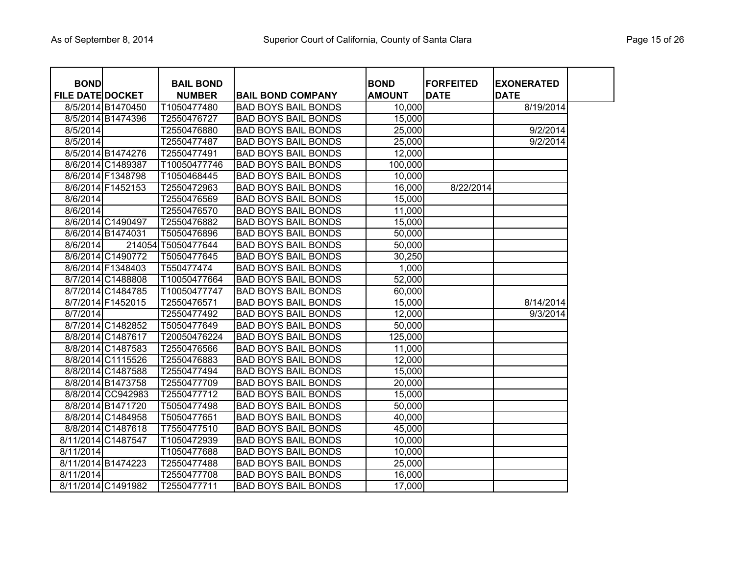| <b>BOND</b>             |                    | <b>BAIL BOND</b>   |                            | <b>BOND</b>   | <b>FORFEITED</b> | <b>EXONERATED</b> |  |
|-------------------------|--------------------|--------------------|----------------------------|---------------|------------------|-------------------|--|
| <b>FILE DATE DOCKET</b> |                    | <b>NUMBER</b>      | <b>BAIL BOND COMPANY</b>   | <b>AMOUNT</b> | <b>DATE</b>      | <b>DATE</b>       |  |
|                         | 8/5/2014 B1470450  | T1050477480        | <b>BAD BOYS BAIL BONDS</b> | 10,000        |                  | 8/19/2014         |  |
|                         | 8/5/2014 B1474396  | T2550476727        | <b>BAD BOYS BAIL BONDS</b> | 15,000        |                  |                   |  |
| 8/5/2014                |                    | T2550476880        | <b>BAD BOYS BAIL BONDS</b> | 25,000        |                  | 9/2/2014          |  |
| 8/5/2014                |                    | T2550477487        | <b>BAD BOYS BAIL BONDS</b> | 25,000        |                  | 9/2/2014          |  |
|                         | 8/5/2014 B1474276  | T2550477491        | <b>BAD BOYS BAIL BONDS</b> | 12,000        |                  |                   |  |
|                         | 8/6/2014 C1489387  | T10050477746       | <b>BAD BOYS BAIL BONDS</b> | 100,000       |                  |                   |  |
|                         | 8/6/2014 F1348798  | T1050468445        | <b>BAD BOYS BAIL BONDS</b> | 10,000        |                  |                   |  |
|                         | 8/6/2014 F1452153  | T2550472963        | <b>BAD BOYS BAIL BONDS</b> | 16,000        | 8/22/2014        |                   |  |
| 8/6/2014                |                    | T2550476569        | <b>BAD BOYS BAIL BONDS</b> | 15,000        |                  |                   |  |
| 8/6/2014                |                    | T2550476570        | <b>BAD BOYS BAIL BONDS</b> | 11,000        |                  |                   |  |
|                         | 8/6/2014 C1490497  | T2550476882        | <b>BAD BOYS BAIL BONDS</b> | 15,000        |                  |                   |  |
|                         | 8/6/2014 B1474031  | T5050476896        | <b>BAD BOYS BAIL BONDS</b> | 50,000        |                  |                   |  |
| 8/6/2014                |                    | 214054 T5050477644 | <b>BAD BOYS BAIL BONDS</b> | 50,000        |                  |                   |  |
|                         | 8/6/2014 C1490772  | T5050477645        | <b>BAD BOYS BAIL BONDS</b> | 30,250        |                  |                   |  |
|                         | 8/6/2014 F1348403  | T550477474         | <b>BAD BOYS BAIL BONDS</b> | 1,000         |                  |                   |  |
|                         | 8/7/2014 C1488808  | T10050477664       | <b>BAD BOYS BAIL BONDS</b> | 52,000        |                  |                   |  |
|                         | 8/7/2014 C1484785  | T10050477747       | <b>BAD BOYS BAIL BONDS</b> | 60,000        |                  |                   |  |
|                         | 8/7/2014 F1452015  | T2550476571        | <b>BAD BOYS BAIL BONDS</b> | 15,000        |                  | 8/14/2014         |  |
| 8/7/2014                |                    | T2550477492        | <b>BAD BOYS BAIL BONDS</b> | 12,000        |                  | 9/3/2014          |  |
|                         | 8/7/2014 C1482852  | T5050477649        | <b>BAD BOYS BAIL BONDS</b> | 50,000        |                  |                   |  |
|                         | 8/8/2014 C1487617  | T20050476224       | <b>BAD BOYS BAIL BONDS</b> | 125,000       |                  |                   |  |
|                         | 8/8/2014 C1487583  | T2550476566        | <b>BAD BOYS BAIL BONDS</b> | 11,000        |                  |                   |  |
|                         | 8/8/2014 C1115526  | T2550476883        | <b>BAD BOYS BAIL BONDS</b> | 12,000        |                  |                   |  |
|                         | 8/8/2014 C1487588  | T2550477494        | <b>BAD BOYS BAIL BONDS</b> | 15,000        |                  |                   |  |
|                         | 8/8/2014 B1473758  | T2550477709        | <b>BAD BOYS BAIL BONDS</b> | 20,000        |                  |                   |  |
|                         | 8/8/2014 CC942983  | T2550477712        | <b>BAD BOYS BAIL BONDS</b> | 15,000        |                  |                   |  |
|                         | 8/8/2014 B1471720  | T5050477498        | <b>BAD BOYS BAIL BONDS</b> | 50,000        |                  |                   |  |
|                         | 8/8/2014 C1484958  | T5050477651        | <b>BAD BOYS BAIL BONDS</b> | 40,000        |                  |                   |  |
|                         | 8/8/2014 C1487618  | T7550477510        | <b>BAD BOYS BAIL BONDS</b> | 45,000        |                  |                   |  |
|                         | 8/11/2014 C1487547 | T1050472939        | <b>BAD BOYS BAIL BONDS</b> | 10,000        |                  |                   |  |
| 8/11/2014               |                    | T1050477688        | <b>BAD BOYS BAIL BONDS</b> | 10,000        |                  |                   |  |
|                         | 8/11/2014 B1474223 | T2550477488        | <b>BAD BOYS BAIL BONDS</b> | 25,000        |                  |                   |  |
| 8/11/2014               |                    | T2550477708        | <b>BAD BOYS BAIL BONDS</b> | 16,000        |                  |                   |  |
|                         | 8/11/2014 C1491982 | T2550477711        | <b>BAD BOYS BAIL BONDS</b> | 17,000        |                  |                   |  |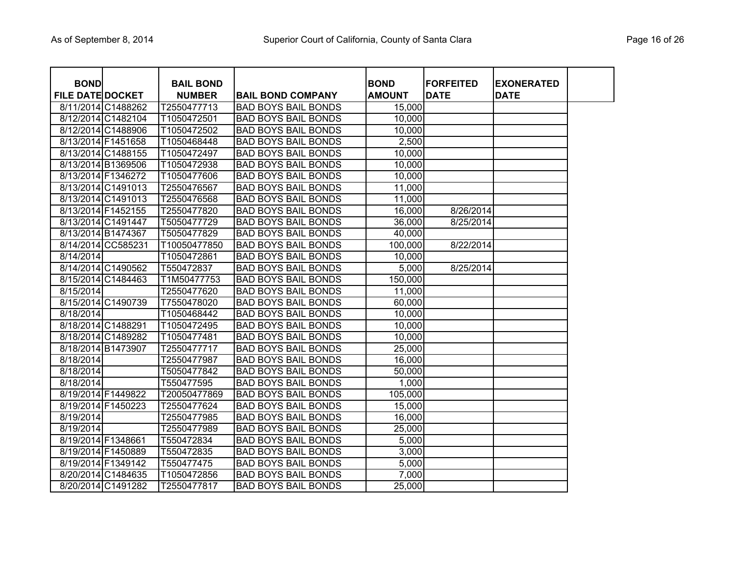| <b>BOND</b><br><b>FILE DATE DOCKET</b> |                    | <b>BAIL BOND</b><br><b>NUMBER</b> | <b>BAIL BOND COMPANY</b>   | <b>BOND</b><br><b>AMOUNT</b> | <b>FORFEITED</b><br><b>DATE</b> | <b>EXONERATED</b><br><b>DATE</b> |  |
|----------------------------------------|--------------------|-----------------------------------|----------------------------|------------------------------|---------------------------------|----------------------------------|--|
|                                        | 8/11/2014 C1488262 | T2550477713                       | <b>BAD BOYS BAIL BONDS</b> | 15,000                       |                                 |                                  |  |
|                                        | 8/12/2014 C1482104 | T1050472501                       | <b>BAD BOYS BAIL BONDS</b> | 10,000                       |                                 |                                  |  |
| 8/12/2014 C1488906                     |                    | T1050472502                       | <b>BAD BOYS BAIL BONDS</b> | 10,000                       |                                 |                                  |  |
| 8/13/2014 F1451658                     |                    | T1050468448                       | <b>BAD BOYS BAIL BONDS</b> | 2,500                        |                                 |                                  |  |
|                                        | 8/13/2014 C1488155 | T1050472497                       | <b>BAD BOYS BAIL BONDS</b> | 10,000                       |                                 |                                  |  |
|                                        | 8/13/2014 B1369506 | T1050472938                       | <b>BAD BOYS BAIL BONDS</b> | 10,000                       |                                 |                                  |  |
| 8/13/2014 F1346272                     |                    | T1050477606                       | <b>BAD BOYS BAIL BONDS</b> | 10,000                       |                                 |                                  |  |
|                                        | 8/13/2014 C1491013 | T2550476567                       | <b>BAD BOYS BAIL BONDS</b> | 11,000                       |                                 |                                  |  |
|                                        | 8/13/2014 C1491013 | T2550476568                       | <b>BAD BOYS BAIL BONDS</b> | 11,000                       |                                 |                                  |  |
| 8/13/2014 F1452155                     |                    | T2550477820                       | <b>BAD BOYS BAIL BONDS</b> | 16,000                       | 8/26/2014                       |                                  |  |
|                                        | 8/13/2014 C1491447 | T5050477729                       | <b>BAD BOYS BAIL BONDS</b> | 36,000                       | 8/25/2014                       |                                  |  |
| 8/13/2014 B1474367                     |                    | T5050477829                       | <b>BAD BOYS BAIL BONDS</b> | 40,000                       |                                 |                                  |  |
|                                        | 8/14/2014 CC585231 | T10050477850                      | <b>BAD BOYS BAIL BONDS</b> | 100,000                      | 8/22/2014                       |                                  |  |
| 8/14/2014                              |                    | T1050472861                       | <b>BAD BOYS BAIL BONDS</b> | 10,000                       |                                 |                                  |  |
|                                        | 8/14/2014 C1490562 | T550472837                        | <b>BAD BOYS BAIL BONDS</b> | 5,000                        | 8/25/2014                       |                                  |  |
|                                        | 8/15/2014 C1484463 | T1M50477753                       | <b>BAD BOYS BAIL BONDS</b> | 150,000                      |                                 |                                  |  |
| 8/15/2014                              |                    | T2550477620                       | <b>BAD BOYS BAIL BONDS</b> | 11,000                       |                                 |                                  |  |
|                                        | 8/15/2014 C1490739 | T7550478020                       | <b>BAD BOYS BAIL BONDS</b> | 60,000                       |                                 |                                  |  |
| 8/18/2014                              |                    | T1050468442                       | <b>BAD BOYS BAIL BONDS</b> | 10,000                       |                                 |                                  |  |
| 8/18/2014 C1488291                     |                    | T1050472495                       | <b>BAD BOYS BAIL BONDS</b> | 10,000                       |                                 |                                  |  |
|                                        | 8/18/2014 C1489282 | T1050477481                       | <b>BAD BOYS BAIL BONDS</b> | 10,000                       |                                 |                                  |  |
| 8/18/2014 B1473907                     |                    | T2550477717                       | <b>BAD BOYS BAIL BONDS</b> | 25,000                       |                                 |                                  |  |
| 8/18/2014                              |                    | T2550477987                       | <b>BAD BOYS BAIL BONDS</b> | 16,000                       |                                 |                                  |  |
| 8/18/2014                              |                    | T5050477842                       | <b>BAD BOYS BAIL BONDS</b> | 50,000                       |                                 |                                  |  |
| 8/18/2014                              |                    | T550477595                        | <b>BAD BOYS BAIL BONDS</b> | 1,000                        |                                 |                                  |  |
| 8/19/2014 F1449822                     |                    | T20050477869                      | <b>BAD BOYS BAIL BONDS</b> | 105,000                      |                                 |                                  |  |
| 8/19/2014 F1450223                     |                    | T2550477624                       | <b>BAD BOYS BAIL BONDS</b> | 15,000                       |                                 |                                  |  |
| 8/19/2014                              |                    | T2550477985                       | <b>BAD BOYS BAIL BONDS</b> | 16,000                       |                                 |                                  |  |
| 8/19/2014                              |                    | T2550477989                       | <b>BAD BOYS BAIL BONDS</b> | 25,000                       |                                 |                                  |  |
| 8/19/2014 F1348661                     |                    | T550472834                        | <b>BAD BOYS BAIL BONDS</b> | 5,000                        |                                 |                                  |  |
| 8/19/2014 F1450889                     |                    | T550472835                        | <b>BAD BOYS BAIL BONDS</b> | 3,000                        |                                 |                                  |  |
| 8/19/2014 F1349142                     |                    | T550477475                        | <b>BAD BOYS BAIL BONDS</b> | 5,000                        |                                 |                                  |  |
|                                        | 8/20/2014 C1484635 | T1050472856                       | <b>BAD BOYS BAIL BONDS</b> | 7,000                        |                                 |                                  |  |
|                                        | 8/20/2014 C1491282 | T2550477817                       | <b>BAD BOYS BAIL BONDS</b> | 25,000                       |                                 |                                  |  |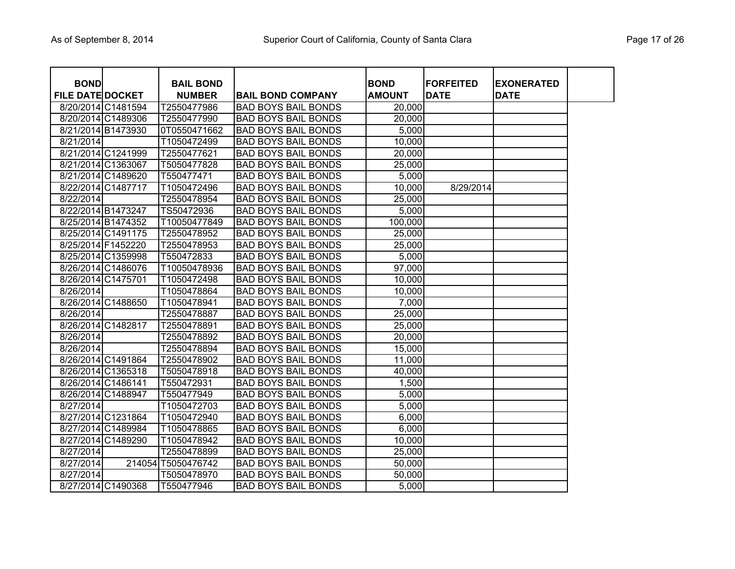| <b>BOND</b>             |                    | <b>BAIL BOND</b>   |                            | <b>BOND</b>   | <b>FORFEITED</b> | <b>EXONERATED</b> |  |
|-------------------------|--------------------|--------------------|----------------------------|---------------|------------------|-------------------|--|
| <b>FILE DATE DOCKET</b> |                    | <b>NUMBER</b>      | <b>BAIL BOND COMPANY</b>   | <b>AMOUNT</b> | <b>DATE</b>      | <b>DATE</b>       |  |
|                         | 8/20/2014 C1481594 | T2550477986        | <b>BAD BOYS BAIL BONDS</b> | 20,000        |                  |                   |  |
|                         | 8/20/2014 C1489306 | T2550477990        | <b>BAD BOYS BAIL BONDS</b> | 20,000        |                  |                   |  |
|                         | 8/21/2014 B1473930 | 0T0550471662       | <b>BAD BOYS BAIL BONDS</b> | 5,000         |                  |                   |  |
| 8/21/2014               |                    | T1050472499        | <b>BAD BOYS BAIL BONDS</b> | 10,000        |                  |                   |  |
|                         | 8/21/2014 C1241999 | T2550477621        | <b>BAD BOYS BAIL BONDS</b> | 20,000        |                  |                   |  |
|                         | 8/21/2014 C1363067 | T5050477828        | <b>BAD BOYS BAIL BONDS</b> | 25,000        |                  |                   |  |
|                         | 8/21/2014 C1489620 | T550477471         | <b>BAD BOYS BAIL BONDS</b> | 5,000         |                  |                   |  |
|                         | 8/22/2014 C1487717 | T1050472496        | <b>BAD BOYS BAIL BONDS</b> | 10,000        | 8/29/2014        |                   |  |
| 8/22/2014               |                    | T2550478954        | <b>BAD BOYS BAIL BONDS</b> | 25,000        |                  |                   |  |
|                         | 8/22/2014 B1473247 | TS50472936         | <b>BAD BOYS BAIL BONDS</b> | 5,000         |                  |                   |  |
|                         | 8/25/2014 B1474352 | T10050477849       | <b>BAD BOYS BAIL BONDS</b> | 100,000       |                  |                   |  |
|                         | 8/25/2014 C1491175 | T2550478952        | <b>BAD BOYS BAIL BONDS</b> | 25,000        |                  |                   |  |
|                         | 8/25/2014 F1452220 | T2550478953        | <b>BAD BOYS BAIL BONDS</b> | 25,000        |                  |                   |  |
|                         | 8/25/2014 C1359998 | T550472833         | <b>BAD BOYS BAIL BONDS</b> | 5,000         |                  |                   |  |
|                         | 8/26/2014 C1486076 | T10050478936       | <b>BAD BOYS BAIL BONDS</b> | 97,000        |                  |                   |  |
|                         | 8/26/2014 C1475701 | T1050472498        | <b>BAD BOYS BAIL BONDS</b> | 10,000        |                  |                   |  |
| 8/26/2014               |                    | T1050478864        | <b>BAD BOYS BAIL BONDS</b> | 10,000        |                  |                   |  |
|                         | 8/26/2014 C1488650 | T1050478941        | <b>BAD BOYS BAIL BONDS</b> | 7,000         |                  |                   |  |
| 8/26/2014               |                    | T2550478887        | <b>BAD BOYS BAIL BONDS</b> | 25,000        |                  |                   |  |
|                         | 8/26/2014 C1482817 | T2550478891        | <b>BAD BOYS BAIL BONDS</b> | 25,000        |                  |                   |  |
| 8/26/2014               |                    | T2550478892        | <b>BAD BOYS BAIL BONDS</b> | 20,000        |                  |                   |  |
| 8/26/2014               |                    | T2550478894        | <b>BAD BOYS BAIL BONDS</b> | 15,000        |                  |                   |  |
|                         | 8/26/2014 C1491864 | T2550478902        | <b>BAD BOYS BAIL BONDS</b> | 11,000        |                  |                   |  |
|                         | 8/26/2014 C1365318 | T5050478918        | <b>BAD BOYS BAIL BONDS</b> | 40,000        |                  |                   |  |
|                         | 8/26/2014 C1486141 | T550472931         | <b>BAD BOYS BAIL BONDS</b> | 1,500         |                  |                   |  |
|                         | 8/26/2014 C1488947 | T550477949         | <b>BAD BOYS BAIL BONDS</b> | 5,000         |                  |                   |  |
| 8/27/2014               |                    | T1050472703        | <b>BAD BOYS BAIL BONDS</b> | 5,000         |                  |                   |  |
|                         | 8/27/2014 C1231864 | T1050472940        | <b>BAD BOYS BAIL BONDS</b> | 6,000         |                  |                   |  |
|                         | 8/27/2014 C1489984 | T1050478865        | <b>BAD BOYS BAIL BONDS</b> | 6,000         |                  |                   |  |
|                         | 8/27/2014 C1489290 | T1050478942        | <b>BAD BOYS BAIL BONDS</b> | 10,000        |                  |                   |  |
| 8/27/2014               |                    | T2550478899        | <b>BAD BOYS BAIL BONDS</b> | 25,000        |                  |                   |  |
| 8/27/2014               |                    | 214054 T5050476742 | <b>BAD BOYS BAIL BONDS</b> | 50,000        |                  |                   |  |
| 8/27/2014               |                    | T5050478970        | <b>BAD BOYS BAIL BONDS</b> | 50,000        |                  |                   |  |
|                         | 8/27/2014 C1490368 | T550477946         | <b>BAD BOYS BAIL BONDS</b> | 5,000         |                  |                   |  |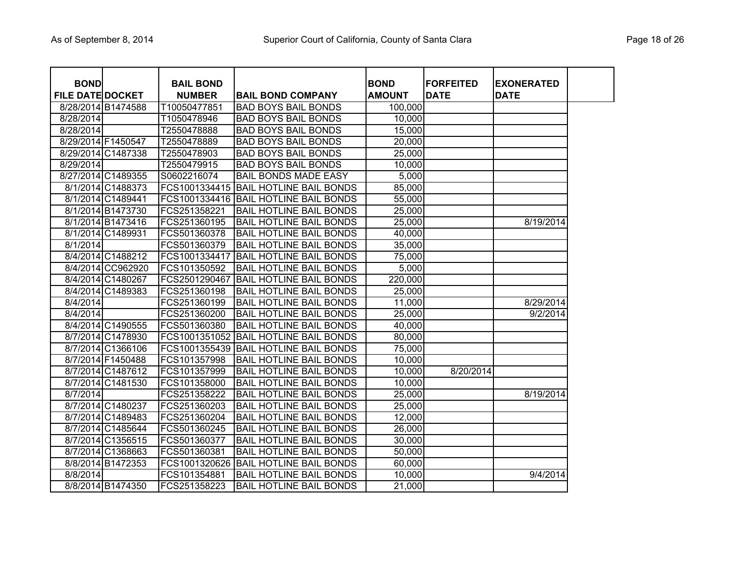| <b>BOND</b>             |                    | <b>BAIL BOND</b> |                                       | <b>BOND</b>   | <b>FORFEITED</b> | <b>IEXONERATED</b> |
|-------------------------|--------------------|------------------|---------------------------------------|---------------|------------------|--------------------|
| <b>FILE DATE DOCKET</b> |                    | <b>NUMBER</b>    | <b>BAIL BOND COMPANY</b>              | <b>AMOUNT</b> | <b>DATE</b>      | <b>DATE</b>        |
| 8/28/2014 B1474588      |                    | T10050477851     | <b>BAD BOYS BAIL BONDS</b>            | 100,000       |                  |                    |
| 8/28/2014               |                    | T1050478946      | <b>BAD BOYS BAIL BONDS</b>            | 10,000        |                  |                    |
| 8/28/2014               |                    | T2550478888      | <b>BAD BOYS BAIL BONDS</b>            | 15,000        |                  |                    |
| 8/29/2014 F1450547      |                    | T2550478889      | <b>BAD BOYS BAIL BONDS</b>            | 20,000        |                  |                    |
|                         | 8/29/2014 C1487338 | T2550478903      | <b>BAD BOYS BAIL BONDS</b>            | 25,000        |                  |                    |
| 8/29/2014               |                    | T2550479915      | <b>BAD BOYS BAIL BONDS</b>            | 10,000        |                  |                    |
|                         | 8/27/2014 C1489355 | S0602216074      | <b>BAIL BONDS MADE EASY</b>           | 5,000         |                  |                    |
|                         | 8/1/2014 C1488373  | FCS1001334415    | <b>BAIL HOTLINE BAIL BONDS</b>        | 85,000        |                  |                    |
|                         | 8/1/2014 C1489441  |                  | FCS1001334416 BAIL HOTLINE BAIL BONDS | 55,000        |                  |                    |
|                         | 8/1/2014 B1473730  | FCS251358221     | <b>BAIL HOTLINE BAIL BONDS</b>        | 25,000        |                  |                    |
|                         | 8/1/2014 B1473416  | FCS251360195     | <b>BAIL HOTLINE BAIL BONDS</b>        | 25,000        |                  | 8/19/2014          |
|                         | 8/1/2014 C1489931  | FCS501360378     | <b>BAIL HOTLINE BAIL BONDS</b>        | 40,000        |                  |                    |
| 8/1/2014                |                    | FCS501360379     | <b>BAIL HOTLINE BAIL BONDS</b>        | 35,000        |                  |                    |
|                         | 8/4/2014 C1488212  | FCS1001334417    | <b>BAIL HOTLINE BAIL BONDS</b>        | 75,000        |                  |                    |
|                         | 8/4/2014 CC962920  | FCS101350592     | <b>BAIL HOTLINE BAIL BONDS</b>        | 5,000         |                  |                    |
|                         | 8/4/2014 C1480267  | FCS2501290467    | <b>BAIL HOTLINE BAIL BONDS</b>        | 220,000       |                  |                    |
|                         | 8/4/2014 C1489383  | FCS251360198     | <b>BAIL HOTLINE BAIL BONDS</b>        | 25,000        |                  |                    |
| 8/4/2014                |                    | FCS251360199     | <b>BAIL HOTLINE BAIL BONDS</b>        | 11,000        |                  | 8/29/2014          |
| 8/4/2014                |                    | FCS251360200     | <b>BAIL HOTLINE BAIL BONDS</b>        | 25,000        |                  | 9/2/2014           |
|                         | 8/4/2014 C1490555  | FCS501360380     | <b>BAIL HOTLINE BAIL BONDS</b>        | 40,000        |                  |                    |
|                         | 8/7/2014 C1478930  | FCS1001351052    | <b>BAIL HOTLINE BAIL BONDS</b>        | 80,000        |                  |                    |
|                         | 8/7/2014 C1366106  | FCS1001355439    | <b>BAIL HOTLINE BAIL BONDS</b>        | 75,000        |                  |                    |
|                         | 8/7/2014 F1450488  | FCS101357998     | <b>BAIL HOTLINE BAIL BONDS</b>        | 10,000        |                  |                    |
|                         | 8/7/2014 C1487612  | FCS101357999     | <b>BAIL HOTLINE BAIL BONDS</b>        | 10,000        | 8/20/2014        |                    |
|                         | 8/7/2014 C1481530  | FCS101358000     | <b>BAIL HOTLINE BAIL BONDS</b>        | 10,000        |                  |                    |
| 8/7/2014                |                    | FCS251358222     | <b>BAIL HOTLINE BAIL BONDS</b>        | 25,000        |                  | 8/19/2014          |
|                         | 8/7/2014 C1480237  | FCS251360203     | <b>BAIL HOTLINE BAIL BONDS</b>        | 25,000        |                  |                    |
|                         | 8/7/2014 C1489483  | FCS251360204     | <b>BAIL HOTLINE BAIL BONDS</b>        | 12,000        |                  |                    |
|                         | 8/7/2014 C1485644  | FCS501360245     | <b>BAIL HOTLINE BAIL BONDS</b>        | 26,000        |                  |                    |
|                         | 8/7/2014 C1356515  | FCS501360377     | <b>BAIL HOTLINE BAIL BONDS</b>        | 30,000        |                  |                    |
|                         | 8/7/2014 C1368663  | FCS501360381     | <b>BAIL HOTLINE BAIL BONDS</b>        | 50,000        |                  |                    |
|                         | 8/8/2014 B1472353  | FCS1001320626    | <b>BAIL HOTLINE BAIL BONDS</b>        | 60,000        |                  |                    |
| 8/8/2014                |                    | FCS101354881     | <b>BAIL HOTLINE BAIL BONDS</b>        | 10,000        |                  | 9/4/2014           |
|                         | 8/8/2014 B1474350  | FCS251358223     | <b>BAIL HOTLINE BAIL BONDS</b>        | 21,000        |                  |                    |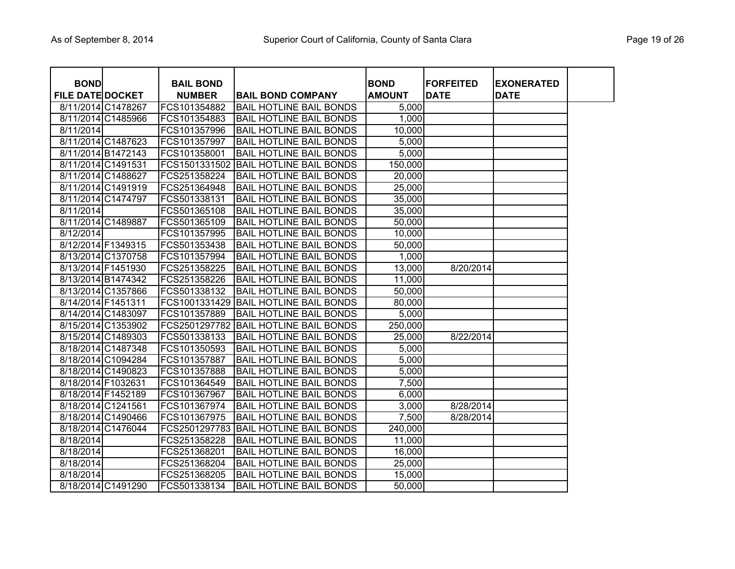| <b>BOND</b>             |                    | <b>BAIL BOND</b> |                                       | <b>BOND</b>   | <b>FORFEITED</b> | <b>EXONERATED</b> |  |
|-------------------------|--------------------|------------------|---------------------------------------|---------------|------------------|-------------------|--|
| <b>FILE DATE DOCKET</b> |                    | <b>NUMBER</b>    | <b>BAIL BOND COMPANY</b>              | <b>AMOUNT</b> | <b>DATE</b>      | <b>DATE</b>       |  |
|                         | 8/11/2014 C1478267 | FCS101354882     | <b>BAIL HOTLINE BAIL BONDS</b>        | 5,000         |                  |                   |  |
|                         | 8/11/2014 C1485966 | FCS101354883     | <b>BAIL HOTLINE BAIL BONDS</b>        | 1,000         |                  |                   |  |
| 8/11/2014               |                    | FCS101357996     | <b>BAIL HOTLINE BAIL BONDS</b>        | 10,000        |                  |                   |  |
|                         | 8/11/2014 C1487623 | FCS101357997     | <b>BAIL HOTLINE BAIL BONDS</b>        | 5,000         |                  |                   |  |
|                         | 8/11/2014 B1472143 | FCS101358001     | <b>BAIL HOTLINE BAIL BONDS</b>        | 5,000         |                  |                   |  |
|                         | 8/11/2014 C1491531 |                  | FCS1501331502 BAIL HOTLINE BAIL BONDS | 150,000       |                  |                   |  |
| 8/11/2014 C1488627      |                    | FCS251358224     | <b>BAIL HOTLINE BAIL BONDS</b>        | 20,000        |                  |                   |  |
|                         | 8/11/2014 C1491919 | FCS251364948     | <b>BAIL HOTLINE BAIL BONDS</b>        | 25,000        |                  |                   |  |
|                         | 8/11/2014 C1474797 | FCS501338131     | <b>BAIL HOTLINE BAIL BONDS</b>        | 35,000        |                  |                   |  |
| 8/11/2014               |                    | FCS501365108     | <b>BAIL HOTLINE BAIL BONDS</b>        | 35,000        |                  |                   |  |
| 8/11/2014 C1489887      |                    | FCS501365109     | <b>BAIL HOTLINE BAIL BONDS</b>        | 50,000        |                  |                   |  |
| $\overline{8}/12/2014$  |                    | FCS101357995     | <b>BAIL HOTLINE BAIL BONDS</b>        | 10,000        |                  |                   |  |
| 8/12/2014 F1349315      |                    | FCS501353438     | <b>BAIL HOTLINE BAIL BONDS</b>        | 50,000        |                  |                   |  |
|                         | 8/13/2014 C1370758 | FCS101357994     | <b>BAIL HOTLINE BAIL BONDS</b>        | 1,000         |                  |                   |  |
| 8/13/2014 F1451930      |                    | FCS251358225     | <b>BAIL HOTLINE BAIL BONDS</b>        | 13,000        | 8/20/2014        |                   |  |
|                         | 8/13/2014 B1474342 | FCS251358226     | <b>BAIL HOTLINE BAIL BONDS</b>        | 11,000        |                  |                   |  |
|                         | 8/13/2014 C1357866 | FCS501338132     | <b>BAIL HOTLINE BAIL BONDS</b>        | 50,000        |                  |                   |  |
| 8/14/2014 F1451311      |                    |                  | FCS1001331429 BAIL HOTLINE BAIL BONDS | 80,000        |                  |                   |  |
| 8/14/2014 C1483097      |                    | FCS101357889     | <b>BAIL HOTLINE BAIL BONDS</b>        | 5,000         |                  |                   |  |
|                         | 8/15/2014 C1353902 |                  | FCS2501297782 BAIL HOTLINE BAIL BONDS | 250,000       |                  |                   |  |
|                         | 8/15/2014 C1489303 | FCS501338133     | <b>BAIL HOTLINE BAIL BONDS</b>        | 25,000        | 8/22/2014        |                   |  |
|                         | 8/18/2014 C1487348 | FCS101350593     | <b>BAIL HOTLINE BAIL BONDS</b>        | 5,000         |                  |                   |  |
|                         | 8/18/2014 C1094284 | FCS101357887     | <b>BAIL HOTLINE BAIL BONDS</b>        | 5,000         |                  |                   |  |
|                         | 8/18/2014 C1490823 | FCS101357888     | <b>BAIL HOTLINE BAIL BONDS</b>        | 5,000         |                  |                   |  |
| 8/18/2014 F1032631      |                    | FCS101364549     | <b>BAIL HOTLINE BAIL BONDS</b>        | 7,500         |                  |                   |  |
| 8/18/2014 F1452189      |                    | FCS101367967     | <b>BAIL HOTLINE BAIL BONDS</b>        | 6,000         |                  |                   |  |
| 8/18/2014 C1241561      |                    | FCS101367974     | <b>BAIL HOTLINE BAIL BONDS</b>        | 3,000         | 8/28/2014        |                   |  |
|                         | 8/18/2014 C1490466 | FCS101367975     | <b>BAIL HOTLINE BAIL BONDS</b>        | 7,500         | 8/28/2014        |                   |  |
|                         | 8/18/2014 C1476044 | FCS2501297783    | <b>BAIL HOTLINE BAIL BONDS</b>        | 240,000       |                  |                   |  |
| 8/18/2014               |                    | FCS251358228     | <b>BAIL HOTLINE BAIL BONDS</b>        | 11,000        |                  |                   |  |
| 8/18/2014               |                    | FCS251368201     | <b>BAIL HOTLINE BAIL BONDS</b>        | 16,000        |                  |                   |  |
| 8/18/2014               |                    | FCS251368204     | <b>BAIL HOTLINE BAIL BONDS</b>        | 25,000        |                  |                   |  |
| 8/18/2014               |                    | FCS251368205     | <b>BAIL HOTLINE BAIL BONDS</b>        | 15,000        |                  |                   |  |
|                         | 8/18/2014 C1491290 | FCS501338134     | <b>BAIL HOTLINE BAIL BONDS</b>        | 50,000        |                  |                   |  |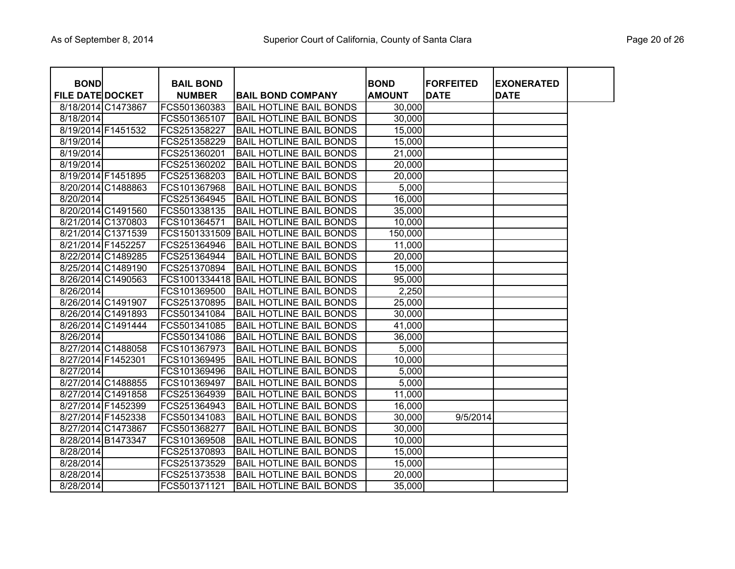| <b>BOND</b>             |                    | <b>BAIL BOND</b> |                                       | <b>BOND</b>   | <b>FORFEITED</b> |                                  |
|-------------------------|--------------------|------------------|---------------------------------------|---------------|------------------|----------------------------------|
| <b>FILE DATE DOCKET</b> |                    | <b>NUMBER</b>    | <b>BAIL BOND COMPANY</b>              | <b>AMOUNT</b> | <b>DATE</b>      | <b>EXONERATED</b><br><b>DATE</b> |
|                         | 8/18/2014 C1473867 | FCS501360383     | <b>BAIL HOTLINE BAIL BONDS</b>        | 30,000        |                  |                                  |
| 8/18/2014               |                    | FCS501365107     | <b>BAIL HOTLINE BAIL BONDS</b>        | 30,000        |                  |                                  |
|                         | 8/19/2014 F1451532 | FCS251358227     | <b>BAIL HOTLINE BAIL BONDS</b>        | 15,000        |                  |                                  |
| 8/19/2014               |                    | FCS251358229     | <b>BAIL HOTLINE BAIL BONDS</b>        | 15,000        |                  |                                  |
| 8/19/2014               |                    | FCS251360201     | <b>BAIL HOTLINE BAIL BONDS</b>        | 21,000        |                  |                                  |
| 8/19/2014               |                    | FCS251360202     | <b>BAIL HOTLINE BAIL BONDS</b>        | 20,000        |                  |                                  |
|                         | 8/19/2014 F1451895 | FCS251368203     | <b>BAIL HOTLINE BAIL BONDS</b>        | 20,000        |                  |                                  |
|                         | 8/20/2014 C1488863 | FCS101367968     | <b>BAIL HOTLINE BAIL BONDS</b>        | 5,000         |                  |                                  |
| 8/20/2014               |                    | FCS251364945     | <b>BAIL HOTLINE BAIL BONDS</b>        | 16,000        |                  |                                  |
|                         | 8/20/2014 C1491560 | FCS501338135     | <b>BAIL HOTLINE BAIL BONDS</b>        | 35,000        |                  |                                  |
|                         | 8/21/2014 C1370803 | FCS101364571     | <b>BAIL HOTLINE BAIL BONDS</b>        | 10,000        |                  |                                  |
|                         | 8/21/2014 C1371539 |                  | FCS1501331509 BAIL HOTLINE BAIL BONDS | 150,000       |                  |                                  |
|                         | 8/21/2014 F1452257 | FCS251364946     | <b>BAIL HOTLINE BAIL BONDS</b>        | 11,000        |                  |                                  |
|                         | 8/22/2014 C1489285 | FCS251364944     | <b>BAIL HOTLINE BAIL BONDS</b>        | 20,000        |                  |                                  |
|                         | 8/25/2014 C1489190 | FCS251370894     | <b>BAIL HOTLINE BAIL BONDS</b>        | 15,000        |                  |                                  |
|                         | 8/26/2014 C1490563 |                  | FCS1001334418 BAIL HOTLINE BAIL BONDS | 95,000        |                  |                                  |
| 8/26/2014               |                    | FCS101369500     | BAIL HOTLINE BAIL BONDS               | 2,250         |                  |                                  |
|                         | 8/26/2014 C1491907 | FCS251370895     | <b>BAIL HOTLINE BAIL BONDS</b>        | 25,000        |                  |                                  |
|                         | 8/26/2014 C1491893 | FCS501341084     | <b>BAIL HOTLINE BAIL BONDS</b>        | 30,000        |                  |                                  |
|                         | 8/26/2014 C1491444 | FCS501341085     | <b>BAIL HOTLINE BAIL BONDS</b>        | 41,000        |                  |                                  |
| 8/26/2014               |                    | FCS501341086     | <b>BAIL HOTLINE BAIL BONDS</b>        | 36,000        |                  |                                  |
|                         | 8/27/2014 C1488058 | FCS101367973     | <b>BAIL HOTLINE BAIL BONDS</b>        | 5,000         |                  |                                  |
| 8/27/2014 F1452301      |                    | FCS101369495     | <b>BAIL HOTLINE BAIL BONDS</b>        | 10,000        |                  |                                  |
| 8/27/2014               |                    | FCS101369496     | <b>BAIL HOTLINE BAIL BONDS</b>        | 5,000         |                  |                                  |
|                         | 8/27/2014 C1488855 | FCS101369497     | <b>BAIL HOTLINE BAIL BONDS</b>        | 5,000         |                  |                                  |
|                         | 8/27/2014 C1491858 | FCS251364939     | <b>BAIL HOTLINE BAIL BONDS</b>        | 11,000        |                  |                                  |
|                         | 8/27/2014 F1452399 | FCS251364943     | <b>BAIL HOTLINE BAIL BONDS</b>        | 16,000        |                  |                                  |
|                         | 8/27/2014 F1452338 | FCS501341083     | <b>BAIL HOTLINE BAIL BONDS</b>        | 30,000        | 9/5/2014         |                                  |
|                         | 8/27/2014 C1473867 | FCS501368277     | <b>BAIL HOTLINE BAIL BONDS</b>        | 30,000        |                  |                                  |
|                         | 8/28/2014 B1473347 | FCS101369508     | <b>BAIL HOTLINE BAIL BONDS</b>        | 10,000        |                  |                                  |
| 8/28/2014               |                    | FCS251370893     | <b>BAIL HOTLINE BAIL BONDS</b>        | 15,000        |                  |                                  |
| 8/28/2014               |                    | FCS251373529     | <b>BAIL HOTLINE BAIL BONDS</b>        | 15,000        |                  |                                  |
| 8/28/2014               |                    | FCS251373538     | <b>BAIL HOTLINE BAIL BONDS</b>        | 20,000        |                  |                                  |
| 8/28/2014               |                    | FCS501371121     | <b>BAIL HOTLINE BAIL BONDS</b>        | 35,000        |                  |                                  |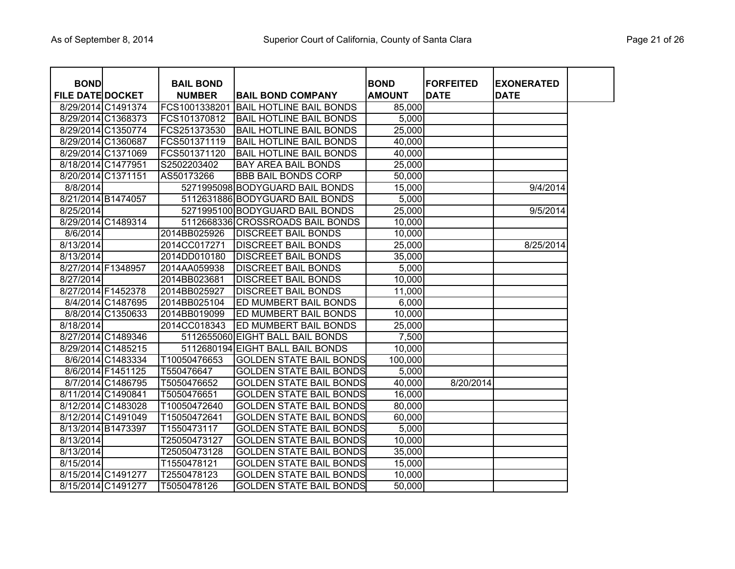| <b>BOND</b>             |                    | <b>BAIL BOND</b> |                                  | <b>BOND</b>   | <b>FORFEITED</b> | <b>EXONERATED</b> |
|-------------------------|--------------------|------------------|----------------------------------|---------------|------------------|-------------------|
| <b>FILE DATE DOCKET</b> |                    | <b>NUMBER</b>    | <b>BAIL BOND COMPANY</b>         | <b>AMOUNT</b> | <b>DATE</b>      | <b>DATE</b>       |
|                         | 8/29/2014 C1491374 | FCS1001338201    | <b>BAIL HOTLINE BAIL BONDS</b>   | 85,000        |                  |                   |
|                         | 8/29/2014 C1368373 | FCS101370812     | <b>BAIL HOTLINE BAIL BONDS</b>   | 5,000         |                  |                   |
|                         | 8/29/2014 C1350774 | FCS251373530     | <b>BAIL HOTLINE BAIL BONDS</b>   | 25,000        |                  |                   |
|                         | 8/29/2014 C1360687 | FCS501371119     | <b>BAIL HOTLINE BAIL BONDS</b>   | 40,000        |                  |                   |
|                         | 8/29/2014 C1371069 | FCS501371120     | <b>BAIL HOTLINE BAIL BONDS</b>   | 40,000        |                  |                   |
|                         | 8/18/2014 C1477951 | S2502203402      | BAY AREA BAIL BONDS              | 25,000        |                  |                   |
|                         | 8/20/2014 C1371151 | AS50173266       | <b>BBB BAIL BONDS CORP</b>       | 50,000        |                  |                   |
| 8/8/2014                |                    |                  | 5271995098 BODYGUARD BAIL BONDS  | 15,000        |                  | 9/4/2014          |
|                         | 8/21/2014 B1474057 |                  | 5112631886 BODYGUARD BAIL BONDS  | 5,000         |                  |                   |
| 8/25/2014               |                    |                  | 5271995100 BODYGUARD BAIL BONDS  | 25,000        |                  | 9/5/2014          |
|                         | 8/29/2014 C1489314 |                  | 5112668336 CROSSROADS BAIL BONDS | 10,000        |                  |                   |
| 8/6/2014                |                    | 2014BB025926     | <b>DISCREET BAIL BONDS</b>       | 10,000        |                  |                   |
| 8/13/2014               |                    | 2014CC017271     | <b>DISCREET BAIL BONDS</b>       | 25,000        |                  | 8/25/2014         |
| $\overline{8}/13/2014$  |                    | 2014DD010180     | <b>DISCREET BAIL BONDS</b>       | 35,000        |                  |                   |
| 8/27/2014 F1348957      |                    | 2014AA059938     | <b>DISCREET BAIL BONDS</b>       | 5,000         |                  |                   |
| 8/27/2014               |                    | 2014BB023681     | <b>DISCREET BAIL BONDS</b>       | 10,000        |                  |                   |
|                         | 8/27/2014 F1452378 | 2014BB025927     | <b>DISCREET BAIL BONDS</b>       | 11,000        |                  |                   |
|                         | 8/4/2014 C1487695  | 2014BB025104     | ED MUMBERT BAIL BONDS            | 6,000         |                  |                   |
|                         | 8/8/2014 C1350633  | 2014BB019099     | <b>IED MUMBERT BAIL BONDS</b>    | 10,000        |                  |                   |
| 8/18/2014               |                    | 2014CC018343     | <b>IED MUMBERT BAIL BONDS</b>    | 25,000        |                  |                   |
|                         | 8/27/2014 C1489346 |                  | 5112655060 EIGHT BALL BAIL BONDS | 7,500         |                  |                   |
|                         | 8/29/2014 C1485215 |                  | 5112680194 EIGHT BALL BAIL BONDS | 10,000        |                  |                   |
|                         | 8/6/2014 C1483334  | T10050476653     | <b>GOLDEN STATE BAIL BONDS</b>   | 100,000       |                  |                   |
|                         | 8/6/2014 F1451125  | T550476647       | <b>GOLDEN STATE BAIL BONDS</b>   | 5,000         |                  |                   |
|                         | 8/7/2014 C1486795  | T5050476652      | <b>GOLDEN STATE BAIL BONDS</b>   | 40,000        | 8/20/2014        |                   |
|                         | 8/11/2014 C1490841 | T5050476651      | <b>GOLDEN STATE BAIL BONDS</b>   | 16,000        |                  |                   |
|                         | 8/12/2014 C1483028 | T10050472640     | <b>GOLDEN STATE BAIL BONDS</b>   | 80,000        |                  |                   |
|                         | 8/12/2014 C1491049 | T15050472641     | <b>GOLDEN STATE BAIL BONDS</b>   | 60,000        |                  |                   |
|                         | 8/13/2014 B1473397 | T1550473117      | <b>GOLDEN STATE BAIL BONDS</b>   | 5,000         |                  |                   |
| 8/13/2014               |                    | T25050473127     | <b>GOLDEN STATE BAIL BONDS</b>   | 10,000        |                  |                   |
| 8/13/2014               |                    | T25050473128     | <b>GOLDEN STATE BAIL BONDS</b>   | 35,000        |                  |                   |
| 8/15/2014               |                    | T1550478121      | <b>GOLDEN STATE BAIL BONDS</b>   | 15,000        |                  |                   |
|                         | 8/15/2014 C1491277 | T2550478123      | <b>GOLDEN STATE BAIL BONDS</b>   | 10,000        |                  |                   |
|                         | 8/15/2014 C1491277 | T5050478126      | <b>GOLDEN STATE BAIL BONDS</b>   | 50,000        |                  |                   |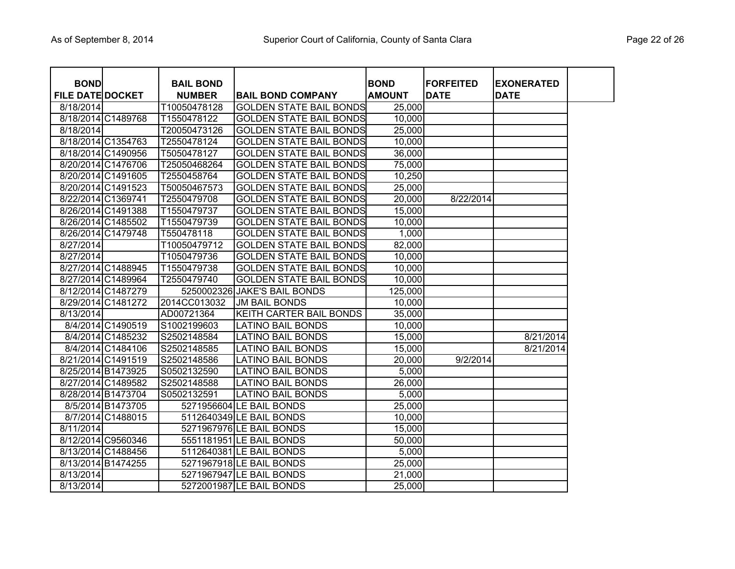| <b>BOND</b>             |                    | <b>BAIL BOND</b> |                                | <b>BOND</b>   | <b>FORFEITED</b> | <b>EXONERATED</b> |
|-------------------------|--------------------|------------------|--------------------------------|---------------|------------------|-------------------|
| <b>FILE DATE DOCKET</b> |                    | <b>NUMBER</b>    | <b>BAIL BOND COMPANY</b>       | <b>AMOUNT</b> | <b>DATE</b>      | <b>DATE</b>       |
| 8/18/2014               |                    | T10050478128     | <b>GOLDEN STATE BAIL BONDS</b> | 25,000        |                  |                   |
|                         | 8/18/2014 C1489768 | T1550478122      | <b>GOLDEN STATE BAIL BONDS</b> | 10,000        |                  |                   |
| 8/18/2014               |                    | T20050473126     | <b>GOLDEN STATE BAIL BONDS</b> | 25,000        |                  |                   |
|                         | 8/18/2014 C1354763 | T2550478124      | <b>GOLDEN STATE BAIL BONDS</b> | 10,000        |                  |                   |
|                         | 8/18/2014 C1490956 | T5050478127      | <b>GOLDEN STATE BAIL BONDS</b> | 36,000        |                  |                   |
|                         | 8/20/2014 C1476706 | T25050468264     | <b>GOLDEN STATE BAIL BONDS</b> | 75,000        |                  |                   |
|                         | 8/20/2014 C1491605 | T2550458764      | <b>GOLDEN STATE BAIL BONDS</b> | 10,250        |                  |                   |
|                         | 8/20/2014 C1491523 | T50050467573     | <b>GOLDEN STATE BAIL BONDS</b> | 25,000        |                  |                   |
|                         | 8/22/2014 C1369741 | T2550479708      | <b>GOLDEN STATE BAIL BONDS</b> | 20,000        | 8/22/2014        |                   |
|                         | 8/26/2014 C1491388 | T1550479737      | <b>GOLDEN STATE BAIL BONDS</b> | 15,000        |                  |                   |
|                         | 8/26/2014 C1485502 | T1550479739      | <b>GOLDEN STATE BAIL BONDS</b> | 10,000        |                  |                   |
|                         | 8/26/2014 C1479748 | T550478118       | <b>GOLDEN STATE BAIL BONDS</b> | 1,000         |                  |                   |
| 8/27/2014               |                    | T10050479712     | <b>GOLDEN STATE BAIL BONDS</b> | 82,000        |                  |                   |
| 8/27/2014               |                    | T1050479736      | <b>GOLDEN STATE BAIL BONDS</b> | 10,000        |                  |                   |
|                         | 8/27/2014 C1488945 | T1550479738      | <b>GOLDEN STATE BAIL BONDS</b> | 10,000        |                  |                   |
|                         | 8/27/2014 C1489964 | T2550479740      | <b>GOLDEN STATE BAIL BONDS</b> | 10,000        |                  |                   |
|                         | 8/12/2014 C1487279 |                  | 5250002326 JAKE'S BAIL BONDS   | 125,000       |                  |                   |
|                         | 8/29/2014 C1481272 | 2014CC013032     | <b>JM BAIL BONDS</b>           | 10,000        |                  |                   |
| 8/13/2014               |                    | AD00721364       | KEITH CARTER BAIL BONDS        | 35,000        |                  |                   |
|                         | 8/4/2014 C1490519  | S1002199603      | LATINO BAIL BONDS              | 10,000        |                  |                   |
|                         | 8/4/2014 C1485232  | S2502148584      | LATINO BAIL BONDS              | 15,000        |                  | 8/21/2014         |
|                         | 8/4/2014 C1484106  | S2502148585      | LATINO BAIL BONDS              | 15,000        |                  | 8/21/2014         |
|                         | 8/21/2014 C1491519 | S2502148586      | LATINO BAIL BONDS              | 20,000        | 9/2/2014         |                   |
|                         | 8/25/2014 B1473925 | S0502132590      | LATINO BAIL BONDS              | 5,000         |                  |                   |
|                         | 8/27/2014 C1489582 | S2502148588      | LATINO BAIL BONDS              | 26,000        |                  |                   |
|                         | 8/28/2014 B1473704 | S0502132591      | LATINO BAIL BONDS              | 5,000         |                  |                   |
|                         | 8/5/2014 B1473705  |                  | 5271956604 LE BAIL BONDS       | 25,000        |                  |                   |
|                         | 8/7/2014 C1488015  |                  | 5112640349 LE BAIL BONDS       | 10,000        |                  |                   |
| 8/11/2014               |                    |                  | 5271967976 LE BAIL BONDS       | 15,000        |                  |                   |
|                         | 8/12/2014 C9560346 |                  | 5551181951 LE BAIL BONDS       | 50,000        |                  |                   |
|                         | 8/13/2014 C1488456 |                  | 5112640381 LE BAIL BONDS       | 5,000         |                  |                   |
|                         | 8/13/2014 B1474255 |                  | 5271967918 LE BAIL BONDS       | 25,000        |                  |                   |
| 8/13/2014               |                    |                  | 5271967947 LE BAIL BONDS       | 21,000        |                  |                   |
| 8/13/2014               |                    |                  | 5272001987 LE BAIL BONDS       | 25,000        |                  |                   |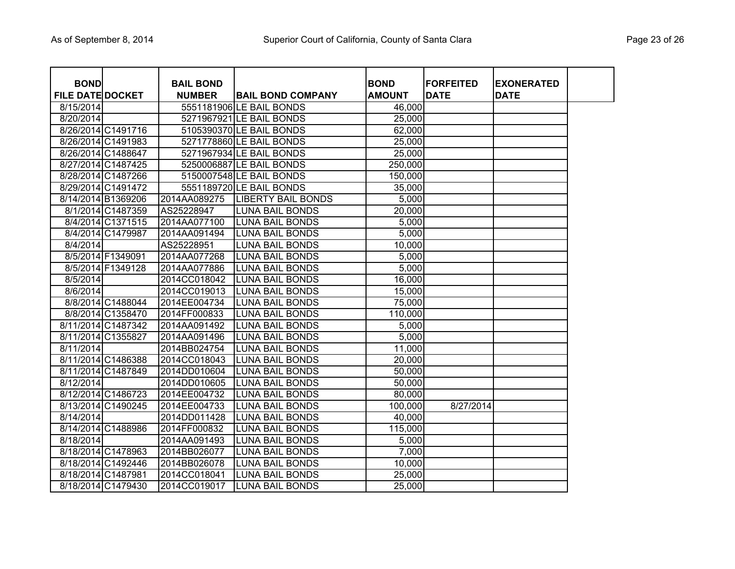| <b>BOND</b>             |                    | <b>BAIL BOND</b> |                           | <b>BOND</b>   | <b>FORFEITED</b> | <b>EXONERATED</b> |  |
|-------------------------|--------------------|------------------|---------------------------|---------------|------------------|-------------------|--|
| <b>FILE DATE DOCKET</b> |                    | <b>NUMBER</b>    | <b>BAIL BOND COMPANY</b>  | <b>AMOUNT</b> | <b>DATE</b>      | <b>DATE</b>       |  |
| 8/15/2014               |                    |                  | 5551181906 LE BAIL BONDS  | 46,000        |                  |                   |  |
| 8/20/2014               |                    |                  | 5271967921 LE BAIL BONDS  | 25,000        |                  |                   |  |
|                         | 8/26/2014 C1491716 |                  | 5105390370 LE BAIL BONDS  | 62,000        |                  |                   |  |
|                         | 8/26/2014 C1491983 |                  | 5271778860 LE BAIL BONDS  | 25,000        |                  |                   |  |
|                         | 8/26/2014 C1488647 |                  | 5271967934 LE BAIL BONDS  | 25,000        |                  |                   |  |
|                         | 8/27/2014 C1487425 |                  | 5250006887 LE BAIL BONDS  | 250,000       |                  |                   |  |
|                         | 8/28/2014 C1487266 |                  | 5150007548 LE BAIL BONDS  | 150,000       |                  |                   |  |
|                         | 8/29/2014 C1491472 |                  | 5551189720 LE BAIL BONDS  | 35,000        |                  |                   |  |
|                         | 8/14/2014 B1369206 | 2014AA089275     | <b>LIBERTY BAIL BONDS</b> | 5,000         |                  |                   |  |
|                         | 8/1/2014 C1487359  | AS25228947       | <b>LUNA BAIL BONDS</b>    | 20,000        |                  |                   |  |
|                         | 8/4/2014 C1371515  | 2014AA077100     | <b>LUNA BAIL BONDS</b>    | 5,000         |                  |                   |  |
|                         | 8/4/2014 C1479987  | 2014AA091494     | <b>LUNA BAIL BONDS</b>    | 5,000         |                  |                   |  |
| 8/4/2014                |                    | AS25228951       | <b>LUNA BAIL BONDS</b>    | 10,000        |                  |                   |  |
|                         | 8/5/2014 F1349091  | 2014AA077268     | <b>LUNA BAIL BONDS</b>    | 5,000         |                  |                   |  |
|                         | 8/5/2014 F1349128  | 2014AA077886     | <b>LUNA BAIL BONDS</b>    | 5,000         |                  |                   |  |
| 8/5/2014                |                    | 2014CC018042     | <b>LUNA BAIL BONDS</b>    | 16,000        |                  |                   |  |
| 8/6/2014                |                    | 2014CC019013     | <b>LUNA BAIL BONDS</b>    | 15,000        |                  |                   |  |
|                         | 8/8/2014 C1488044  | 2014EE004734     | <b>LUNA BAIL BONDS</b>    | 75,000        |                  |                   |  |
|                         | 8/8/2014 C1358470  | 2014FF000833     | <b>LUNA BAIL BONDS</b>    | 110,000       |                  |                   |  |
|                         | 8/11/2014 C1487342 | 2014AA091492     | <b>LUNA BAIL BONDS</b>    | 5,000         |                  |                   |  |
|                         | 8/11/2014 C1355827 | 2014AA091496     | <b>LUNA BAIL BONDS</b>    | 5,000         |                  |                   |  |
| 8/11/2014               |                    | 2014BB024754     | <b>LUNA BAIL BONDS</b>    | 11,000        |                  |                   |  |
|                         | 8/11/2014 C1486388 | 2014CC018043     | <b>LUNA BAIL BONDS</b>    | 20,000        |                  |                   |  |
|                         | 8/11/2014 C1487849 | 2014DD010604     | <b>LUNA BAIL BONDS</b>    | 50,000        |                  |                   |  |
| 8/12/2014               |                    | 2014DD010605     | <b>LUNA BAIL BONDS</b>    | 50,000        |                  |                   |  |
|                         | 8/12/2014 C1486723 | 2014EE004732     | <b>LUNA BAIL BONDS</b>    | 80,000        |                  |                   |  |
|                         | 8/13/2014 C1490245 | 2014EE004733     | <b>LUNA BAIL BONDS</b>    | 100,000       | 8/27/2014        |                   |  |
| 8/14/2014               |                    | 2014DD011428     | LUNA BAIL BONDS           | 40,000        |                  |                   |  |
|                         | 8/14/2014 C1488986 | 2014FF000832     | <b>LUNA BAIL BONDS</b>    | 115,000       |                  |                   |  |
| 8/18/2014               |                    | 2014AA091493     | <b>LUNA BAIL BONDS</b>    | 5,000         |                  |                   |  |
|                         | 8/18/2014 C1478963 | 2014BB026077     | <b>LUNA BAIL BONDS</b>    | 7,000         |                  |                   |  |
|                         | 8/18/2014 C1492446 | 2014BB026078     | <b>LUNA BAIL BONDS</b>    | 10,000        |                  |                   |  |
|                         | 8/18/2014 C1487981 | 2014CC018041     | <b>LUNA BAIL BONDS</b>    | 25,000        |                  |                   |  |
|                         | 8/18/2014 C1479430 | 2014CC019017     | <b>LUNA BAIL BONDS</b>    | 25,000        |                  |                   |  |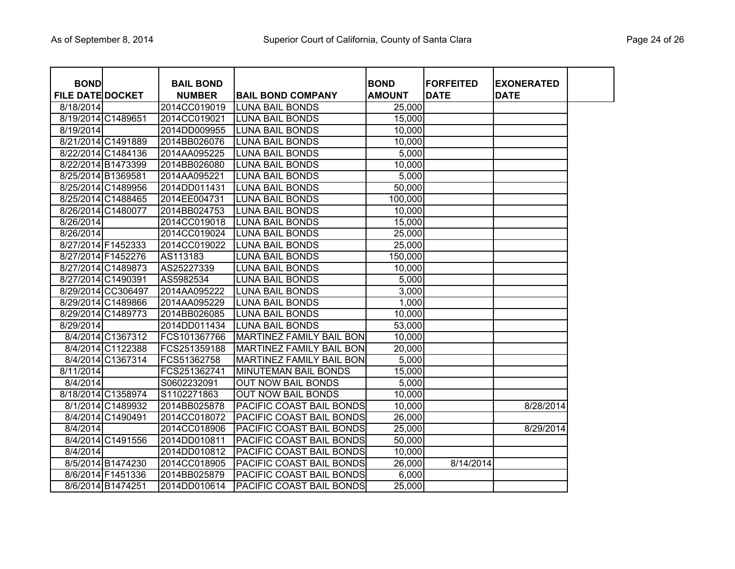| <b>BOND</b>             |                    | <b>BAIL BOND</b> |                                 | <b>BOND</b>   | <b>FORFEITED</b> | <b>IEXONERATED</b> |  |
|-------------------------|--------------------|------------------|---------------------------------|---------------|------------------|--------------------|--|
| <b>FILE DATE DOCKET</b> |                    | <b>NUMBER</b>    | <b>BAIL BOND COMPANY</b>        | <b>AMOUNT</b> | <b>DATE</b>      | <b>DATE</b>        |  |
| 8/18/2014               |                    | 2014CC019019     | <b>LUNA BAIL BONDS</b>          | 25,000        |                  |                    |  |
|                         | 8/19/2014 C1489651 | 2014CC019021     | <b>LUNA BAIL BONDS</b>          | 15,000        |                  |                    |  |
| 8/19/2014               |                    | 2014DD009955     | <b>LUNA BAIL BONDS</b>          | 10,000        |                  |                    |  |
|                         | 8/21/2014 C1491889 | 2014BB026076     | <b>LUNA BAIL BONDS</b>          | 10,000        |                  |                    |  |
|                         | 8/22/2014 C1484136 | 2014AA095225     | <b>LUNA BAIL BONDS</b>          | 5,000         |                  |                    |  |
|                         | 8/22/2014 B1473399 | 2014BB026080     | <b>LUNA BAIL BONDS</b>          | 10,000        |                  |                    |  |
|                         | 8/25/2014 B1369581 | 2014AA095221     | <b>LUNA BAIL BONDS</b>          | 5,000         |                  |                    |  |
|                         | 8/25/2014 C1489956 | 2014DD011431     | LUNA BAIL BONDS                 | 50,000        |                  |                    |  |
|                         | 8/25/2014 C1488465 | 2014EE004731     | LUNA BAIL BONDS                 | 100,000       |                  |                    |  |
|                         | 8/26/2014 C1480077 | 2014BB024753     | LUNA BAIL BONDS                 | 10,000        |                  |                    |  |
| 8/26/2014               |                    | 2014CC019018     | LUNA BAIL BONDS                 | 15,000        |                  |                    |  |
| 8/26/2014               |                    | 2014CC019024     | LUNA BAIL BONDS                 | 25,000        |                  |                    |  |
|                         | 8/27/2014 F1452333 | 2014CC019022     | LUNA BAIL BONDS                 | 25,000        |                  |                    |  |
|                         | 8/27/2014 F1452276 | AS113183         | LUNA BAIL BONDS                 | 150,000       |                  |                    |  |
|                         | 8/27/2014 C1489873 | AS25227339       | LUNA BAIL BONDS                 | 10,000        |                  |                    |  |
|                         | 8/27/2014 C1490391 | AS5982534        | LUNA BAIL BONDS                 | 5,000         |                  |                    |  |
|                         | 8/29/2014 CC306497 | 2014AA095222     | <b>LUNA BAIL BONDS</b>          | 3,000         |                  |                    |  |
|                         | 8/29/2014 C1489866 | 2014AA095229     | <b>LUNA BAIL BONDS</b>          | 1,000         |                  |                    |  |
|                         | 8/29/2014 C1489773 | 2014BB026085     | <b>LUNA BAIL BONDS</b>          | 10,000        |                  |                    |  |
| 8/29/2014               |                    | 2014DD011434     | <b>LUNA BAIL BONDS</b>          | 53,000        |                  |                    |  |
|                         | 8/4/2014 C1367312  | FCS101367766     | MARTINEZ FAMILY BAIL BON        | 10,000        |                  |                    |  |
|                         | 8/4/2014 C1122388  | FCS251359188     | <b>MARTINEZ FAMILY BAIL BON</b> | 20,000        |                  |                    |  |
|                         | 8/4/2014 C1367314  | FCS51362758      | <b>MARTINEZ FAMILY BAIL BON</b> | 5,000         |                  |                    |  |
| 8/11/2014               |                    | FCS251362741     | <b>MINUTEMAN BAIL BONDS</b>     | 15,000        |                  |                    |  |
| 8/4/2014                |                    | S0602232091      | <b>OUT NOW BAIL BONDS</b>       | 5,000         |                  |                    |  |
|                         | 8/18/2014 C1358974 | S1102271863      | <b>OUT NOW BAIL BONDS</b>       | 10,000        |                  |                    |  |
|                         | 8/1/2014 C1489932  | 2014BB025878     | <b>PACIFIC COAST BAIL BONDS</b> | 10,000        |                  | 8/28/2014          |  |
|                         | 8/4/2014 C1490491  | 2014CC018072     | PACIFIC COAST BAIL BONDS        | 26,000        |                  |                    |  |
| 8/4/2014                |                    | 2014CC018906     | PACIFIC COAST BAIL BONDS        | 25,000        |                  | 8/29/2014          |  |
|                         | 8/4/2014 C1491556  | 2014DD010811     | PACIFIC COAST BAIL BONDS        | 50,000        |                  |                    |  |
| 8/4/2014                |                    | 2014DD010812     | PACIFIC COAST BAIL BONDS        | 10,000        |                  |                    |  |
|                         | 8/5/2014 B1474230  | 2014CC018905     | PACIFIC COAST BAIL BONDS        | 26,000        | 8/14/2014        |                    |  |
|                         | 8/6/2014 F1451336  | 2014BB025879     | PACIFIC COAST BAIL BONDS        | 6,000         |                  |                    |  |
|                         | 8/6/2014 B1474251  | 2014DD010614     | PACIFIC COAST BAIL BONDS        | 25,000        |                  |                    |  |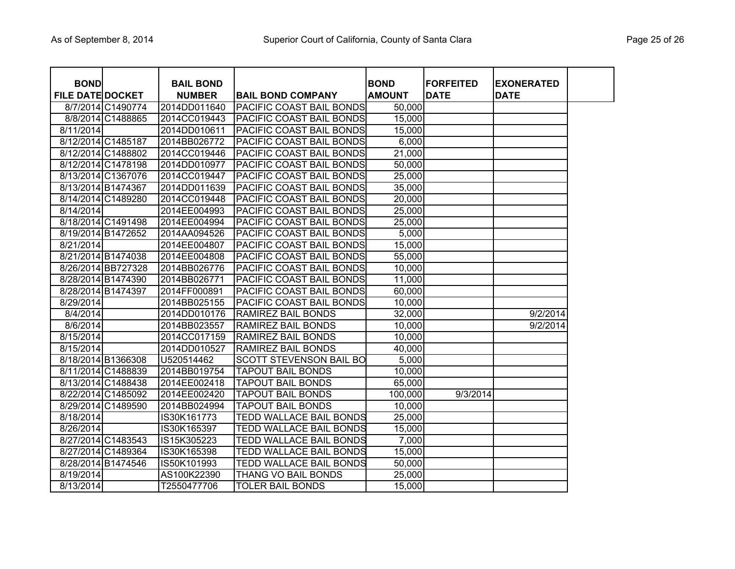| <b>BOND</b>             |                    | <b>BAIL BOND</b> |                                 | <b>BOND</b>   | <b>FORFEITED</b> | <b>EXONERATED</b> |  |
|-------------------------|--------------------|------------------|---------------------------------|---------------|------------------|-------------------|--|
| <b>FILE DATE DOCKET</b> |                    | <b>NUMBER</b>    | <b>BAIL BOND COMPANY</b>        | <b>AMOUNT</b> | <b>DATE</b>      | <b>DATE</b>       |  |
|                         | 8/7/2014 C1490774  | 2014DD011640     | <b>PACIFIC COAST BAIL BONDS</b> | 50,000        |                  |                   |  |
|                         | 8/8/2014 C1488865  | 2014CC019443     | PACIFIC COAST BAIL BONDS        | 15,000        |                  |                   |  |
| 8/11/2014               |                    | 2014DD010611     | PACIFIC COAST BAIL BONDS        | 15,000        |                  |                   |  |
|                         | 8/12/2014 C1485187 | 2014BB026772     | PACIFIC COAST BAIL BONDS        | 6,000         |                  |                   |  |
|                         | 8/12/2014 C1488802 | 2014CC019446     | PACIFIC COAST BAIL BONDS        | 21,000        |                  |                   |  |
|                         | 8/12/2014 C1478198 | 2014DD010977     | PACIFIC COAST BAIL BONDS        | 50,000        |                  |                   |  |
|                         | 8/13/2014 C1367076 | 2014CC019447     | PACIFIC COAST BAIL BONDS        | 25,000        |                  |                   |  |
| 8/13/2014 B1474367      |                    | 2014DD011639     | PACIFIC COAST BAIL BONDS        | 35,000        |                  |                   |  |
|                         | 8/14/2014 C1489280 | 2014CC019448     | PACIFIC COAST BAIL BONDS        | 20,000        |                  |                   |  |
| 8/14/2014               |                    | 2014EE004993     | PACIFIC COAST BAIL BONDS        | 25,000        |                  |                   |  |
|                         | 8/18/2014 C1491498 | 2014EE004994     | PACIFIC COAST BAIL BONDS        | 25,000        |                  |                   |  |
|                         | 8/19/2014 B1472652 | 2014AA094526     | PACIFIC COAST BAIL BONDS        | 5,000         |                  |                   |  |
| 8/21/2014               |                    | 2014EE004807     | PACIFIC COAST BAIL BONDS        | 15,000        |                  |                   |  |
|                         | 8/21/2014 B1474038 | 2014EE004808     | PACIFIC COAST BAIL BONDS        | 55,000        |                  |                   |  |
|                         | 8/26/2014 BB727328 | 2014BB026776     | PACIFIC COAST BAIL BONDS        | 10,000        |                  |                   |  |
|                         | 8/28/2014 B1474390 | 2014BB026771     | PACIFIC COAST BAIL BONDS        | 11,000        |                  |                   |  |
|                         | 8/28/2014 B1474397 | 2014FF000891     | PACIFIC COAST BAIL BONDS        | 60,000        |                  |                   |  |
| 8/29/2014               |                    | 2014BB025155     | PACIFIC COAST BAIL BONDS        | 10,000        |                  |                   |  |
| 8/4/2014                |                    | 2014DD010176     | RAMIREZ BAIL BONDS              | 32,000        |                  | 9/2/2014          |  |
| 8/6/2014                |                    | 2014BB023557     | RAMIREZ BAIL BONDS              | 10,000        |                  | 9/2/2014          |  |
| 8/15/2014               |                    | 2014CC017159     | <b>RAMIREZ BAIL BONDS</b>       | 10,000        |                  |                   |  |
| 8/15/2014               |                    | 2014DD010527     | <b>RAMIREZ BAIL BONDS</b>       | 40,000        |                  |                   |  |
|                         | 8/18/2014 B1366308 | U520514462       | <b>SCOTT STEVENSON BAIL BO</b>  | 5,000         |                  |                   |  |
|                         | 8/11/2014 C1488839 | 2014BB019754     | <b>TAPOUT BAIL BONDS</b>        | 10,000        |                  |                   |  |
|                         | 8/13/2014 C1488438 | 2014EE002418     | <b>TAPOUT BAIL BONDS</b>        | 65,000        |                  |                   |  |
|                         | 8/22/2014 C1485092 | 2014EE002420     | <b>TAPOUT BAIL BONDS</b>        | 100,000       | 9/3/2014         |                   |  |
|                         | 8/29/2014 C1489590 | 2014BB024994     | <b>TAPOUT BAIL BONDS</b>        | 10,000        |                  |                   |  |
| 8/18/2014               |                    | IS30K161773      | <b>TEDD WALLACE BAIL BONDS</b>  | 25,000        |                  |                   |  |
| 8/26/2014               |                    | IS30K165397      | <b>TEDD WALLACE BAIL BONDS</b>  | 15,000        |                  |                   |  |
|                         | 8/27/2014 C1483543 | IS15K305223      | <b>TEDD WALLACE BAIL BONDS</b>  | 7,000         |                  |                   |  |
|                         | 8/27/2014 C1489364 | IS30K165398      | TEDD WALLACE BAIL BONDS         | 15,000        |                  |                   |  |
|                         | 8/28/2014 B1474546 | IS50K101993      | TEDD WALLACE BAIL BONDS         | 50,000        |                  |                   |  |
| 8/19/2014               |                    | AS100K22390      | THANG VO BAIL BONDS             | 25,000        |                  |                   |  |
| 8/13/2014               |                    | T2550477706      | <b>TOLER BAIL BONDS</b>         | 15,000        |                  |                   |  |